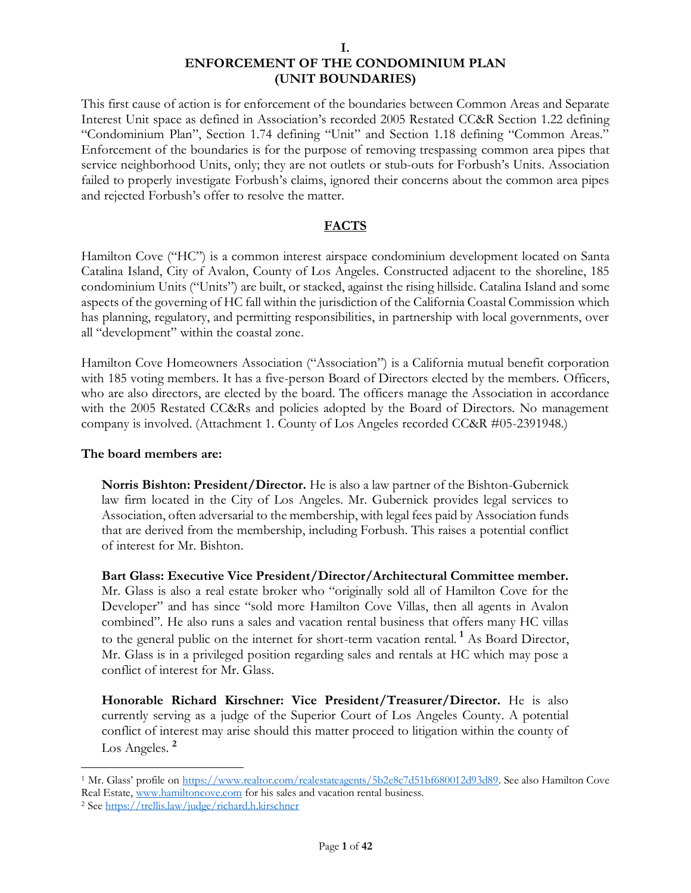This first cause of action is for enforcement of the boundaries between Common Areas and Separate Interest Unit space as defined in Association's recorded 2005 Restated CC&R Section 1.22 defining "Condominium Plan", Section 1.74 defining "Unit" and Section 1.18 defining "Common Areas." Enforcement of the boundaries is for the purpose of removing trespassing common area pipes that service neighborhood Units, only; they are not outlets or stub-outs for Forbush's Units. Association failed to properly investigate Forbush's claims, ignored their concerns about the common area pipes and rejected Forbush's offer to resolve the matter.

#### **FACTS**

Hamilton Cove ("HC") is a common interest airspace condominium development located on Santa Catalina Island, City of Avalon, County of Los Angeles. Constructed adjacent to the shoreline, 185 condominium Units ("Units") are built, or stacked, against the rising hillside. Catalina Island and some aspects of the governing of HC fall within the jurisdiction of the California Coastal Commission which has planning, regulatory, and permitting responsibilities, in partnership with local governments, over all "development" within the coastal zone.

Hamilton Cove Homeowners Association ("Association") is a California mutual benefit corporation with 185 voting members. It has a five-person Board of Directors elected by the members. Officers, who are also directors, are elected by the board. The officers manage the Association in accordance with the 2005 Restated CC&Rs and policies adopted by the Board of Directors. No management company is involved. (Attachment 1. County of Los Angeles recorded CC&R #05-2391948.)

#### **The board members are:**

**Norris Bishton: President/Director.** He is also a law partner of the Bishton-Gubernick law firm located in the City of Los Angeles. Mr. Gubernick provides legal services to Association, often adversarial to the membership, with legal fees paid by Association funds that are derived from the membership, including Forbush. This raises a potential conflict of interest for Mr. Bishton.

**Bart Glass: Executive Vice President/Director/Architectural Committee member.**  Mr. Glass is also a real estate broker who "originally sold all of Hamilton Cove for the Developer" and has since "sold more Hamilton Cove Villas, then all agents in Avalon combined". He also runs a sales and vacation rental business that offers many HC villas to the general public on the internet for short-term vacation rental. **<sup>1</sup>** As Board Director, Mr. Glass is in a privileged position regarding sales and rentals at HC which may pose a conflict of interest for Mr. Glass.

**Honorable Richard Kirschner: Vice President/Treasurer/Director.** He is also currently serving as a judge of the Superior Court of Los Angeles County. A potential conflict of interest may arise should this matter proceed to litigation within the county of Los Angeles. **<sup>2</sup>**

<sup>1</sup> Mr. Glass' profile on [https://www.realtor.com/realestateagents/5b2e8c7d51bf680012d93d89.](https://www.realtor.com/realestateagents/5b2e8c7d51bf680012d93d89) See also Hamilton Cove Real Estate, [www.hamiltoncove.com](http://www.hamiltoncove.com/) for his sales and vacation rental business. <sup>2</sup> See<https://trellis.law/judge/richard.h.kirschner>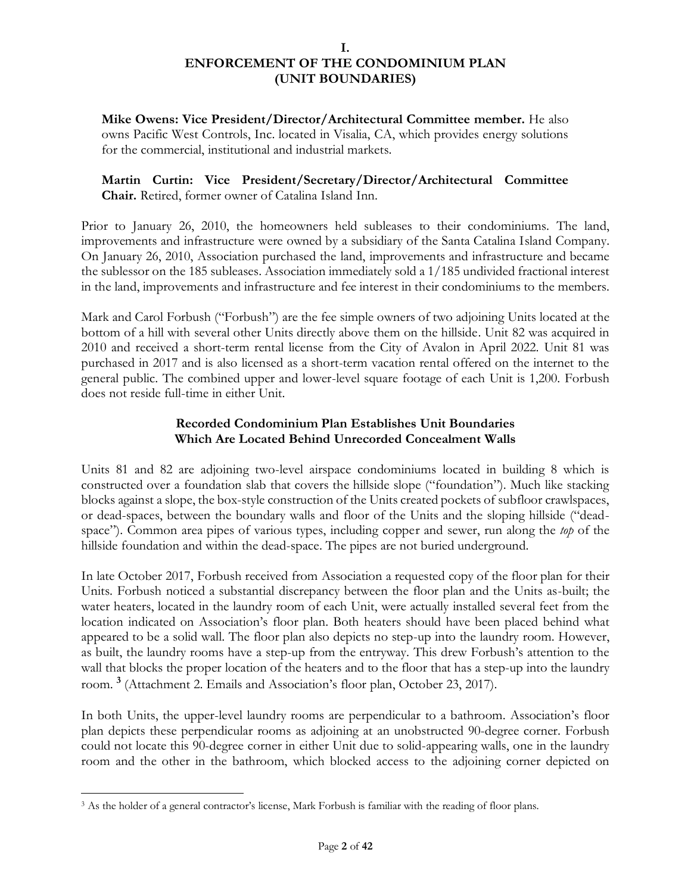**Mike Owens: Vice President/Director/Architectural Committee member.** He also owns Pacific West Controls, Inc. located in Visalia, CA, which provides energy solutions for the commercial, institutional and industrial markets.

# **Martin Curtin: Vice President/Secretary/Director/Architectural Committee Chair.** Retired, former owner of Catalina Island Inn.

Prior to January 26, 2010, the homeowners held subleases to their condominiums. The land, improvements and infrastructure were owned by a subsidiary of the Santa Catalina Island Company. On January 26, 2010, Association purchased the land, improvements and infrastructure and became the sublessor on the 185 subleases. Association immediately sold a 1/185 undivided fractional interest in the land, improvements and infrastructure and fee interest in their condominiums to the members.

Mark and Carol Forbush ("Forbush") are the fee simple owners of two adjoining Units located at the bottom of a hill with several other Units directly above them on the hillside. Unit 82 was acquired in 2010 and received a short-term rental license from the City of Avalon in April 2022. Unit 81 was purchased in 2017 and is also licensed as a short-term vacation rental offered on the internet to the general public. The combined upper and lower-level square footage of each Unit is 1,200. Forbush does not reside full-time in either Unit.

### **Recorded Condominium Plan Establishes Unit Boundaries Which Are Located Behind Unrecorded Concealment Walls**

Units 81 and 82 are adjoining two-level airspace condominiums located in building 8 which is constructed over a foundation slab that covers the hillside slope ("foundation"). Much like stacking blocks against a slope, the box-style construction of the Units created pockets of subfloor crawlspaces, or dead-spaces, between the boundary walls and floor of the Units and the sloping hillside ("deadspace"). Common area pipes of various types, including copper and sewer, run along the *top* of the hillside foundation and within the dead-space. The pipes are not buried underground.

In late October 2017, Forbush received from Association a requested copy of the floor plan for their Units. Forbush noticed a substantial discrepancy between the floor plan and the Units as-built; the water heaters, located in the laundry room of each Unit, were actually installed several feet from the location indicated on Association's floor plan. Both heaters should have been placed behind what appeared to be a solid wall. The floor plan also depicts no step-up into the laundry room. However, as built, the laundry rooms have a step-up from the entryway. This drew Forbush's attention to the wall that blocks the proper location of the heaters and to the floor that has a step-up into the laundry room. **<sup>3</sup>** (Attachment 2. Emails and Association's floor plan, October 23, 2017).

In both Units, the upper-level laundry rooms are perpendicular to a bathroom. Association's floor plan depicts these perpendicular rooms as adjoining at an unobstructed 90-degree corner. Forbush could not locate this 90-degree corner in either Unit due to solid-appearing walls, one in the laundry room and the other in the bathroom, which blocked access to the adjoining corner depicted on

<sup>3</sup> As the holder of a general contractor's license, Mark Forbush is familiar with the reading of floor plans.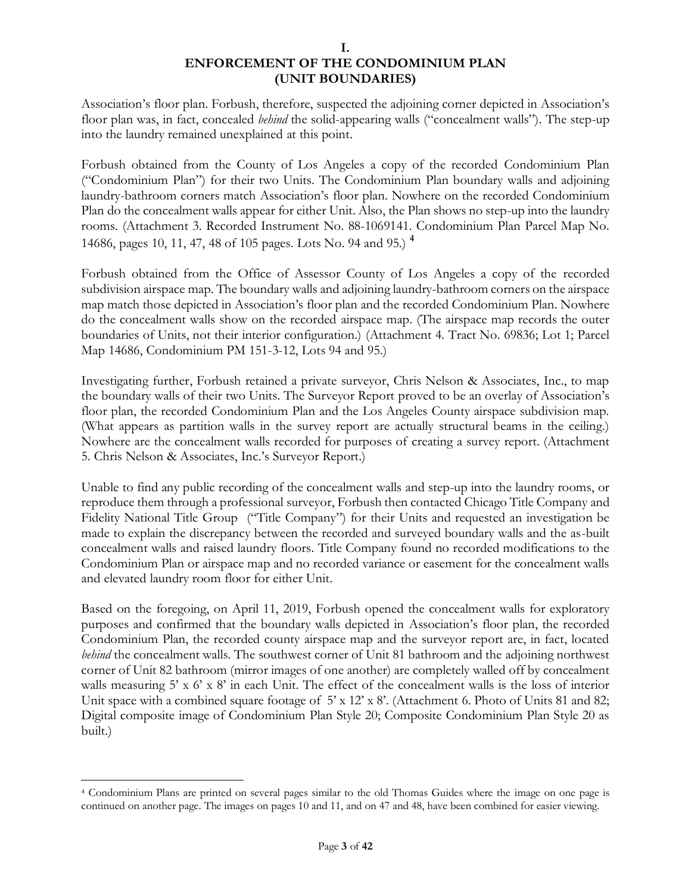Association's floor plan. Forbush, therefore, suspected the adjoining corner depicted in Association's floor plan was, in fact, concealed *behind* the solid-appearing walls ("concealment walls"). The step-up into the laundry remained unexplained at this point.

Forbush obtained from the County of Los Angeles a copy of the recorded Condominium Plan ("Condominium Plan") for their two Units. The Condominium Plan boundary walls and adjoining laundry-bathroom corners match Association's floor plan. Nowhere on the recorded Condominium Plan do the concealment walls appear for either Unit. Also, the Plan shows no step-up into the laundry rooms. (Attachment 3. Recorded Instrument No. 88-1069141. Condominium Plan Parcel Map No. 14686, pages 10, 11, 47, 48 of 105 pages. Lots No. 94 and 95.) **<sup>4</sup>**

Forbush obtained from the Office of Assessor County of Los Angeles a copy of the recorded subdivision airspace map. The boundary walls and adjoining laundry-bathroom corners on the airspace map match those depicted in Association's floor plan and the recorded Condominium Plan. Nowhere do the concealment walls show on the recorded airspace map. (The airspace map records the outer boundaries of Units, not their interior configuration.) (Attachment 4. Tract No. 69836; Lot 1; Parcel Map 14686, Condominium PM 151-3-12, Lots 94 and 95.)

Investigating further, Forbush retained a private surveyor, Chris Nelson & Associates, Inc., to map the boundary walls of their two Units. The Surveyor Report proved to be an overlay of Association's floor plan, the recorded Condominium Plan and the Los Angeles County airspace subdivision map. (What appears as partition walls in the survey report are actually structural beams in the ceiling.) Nowhere are the concealment walls recorded for purposes of creating a survey report. (Attachment 5. Chris Nelson & Associates, Inc.'s Surveyor Report.)

Unable to find any public recording of the concealment walls and step-up into the laundry rooms, or reproduce them through a professional surveyor, Forbush then contacted Chicago Title Company and Fidelity National Title Group ("Title Company") for their Units and requested an investigation be made to explain the discrepancy between the recorded and surveyed boundary walls and the as-built concealment walls and raised laundry floors. Title Company found no recorded modifications to the Condominium Plan or airspace map and no recorded variance or easement for the concealment walls and elevated laundry room floor for either Unit.

Based on the foregoing, on April 11, 2019, Forbush opened the concealment walls for exploratory purposes and confirmed that the boundary walls depicted in Association's floor plan, the recorded Condominium Plan, the recorded county airspace map and the surveyor report are, in fact, located *behind* the concealment walls. The southwest corner of Unit 81 bathroom and the adjoining northwest corner of Unit 82 bathroom (mirror images of one another) are completely walled off by concealment walls measuring  $5' \times 6' \times 8'$  in each Unit. The effect of the concealment walls is the loss of interior Unit space with a combined square footage of 5' x 12' x 8'. (Attachment 6. Photo of Units 81 and 82; Digital composite image of Condominium Plan Style 20; Composite Condominium Plan Style 20 as built.)

<sup>4</sup> Condominium Plans are printed on several pages similar to the old Thomas Guides where the image on one page is continued on another page. The images on pages 10 and 11, and on 47 and 48, have been combined for easier viewing.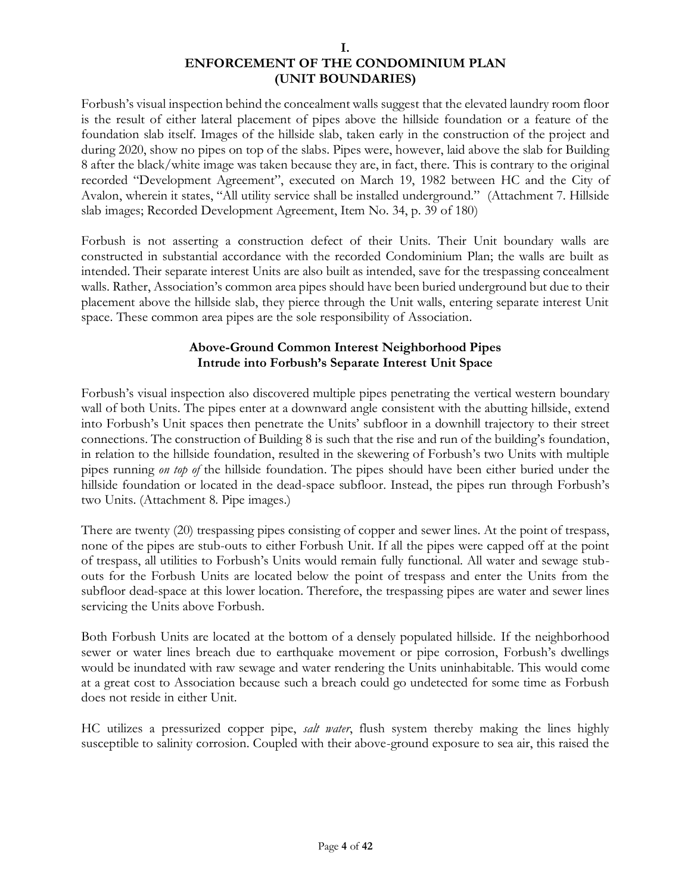Forbush's visual inspection behind the concealment walls suggest that the elevated laundry room floor is the result of either lateral placement of pipes above the hillside foundation or a feature of the foundation slab itself. Images of the hillside slab, taken early in the construction of the project and during 2020, show no pipes on top of the slabs. Pipes were, however, laid above the slab for Building 8 after the black/white image was taken because they are, in fact, there. This is contrary to the original recorded "Development Agreement", executed on March 19, 1982 between HC and the City of Avalon, wherein it states, "All utility service shall be installed underground." (Attachment 7. Hillside slab images; Recorded Development Agreement, Item No. 34, p. 39 of 180)

Forbush is not asserting a construction defect of their Units. Their Unit boundary walls are constructed in substantial accordance with the recorded Condominium Plan; the walls are built as intended. Their separate interest Units are also built as intended, save for the trespassing concealment walls. Rather, Association's common area pipes should have been buried underground but due to their placement above the hillside slab, they pierce through the Unit walls, entering separate interest Unit space. These common area pipes are the sole responsibility of Association.

# **Above-Ground Common Interest Neighborhood Pipes Intrude into Forbush's Separate Interest Unit Space**

Forbush's visual inspection also discovered multiple pipes penetrating the vertical western boundary wall of both Units. The pipes enter at a downward angle consistent with the abutting hillside, extend into Forbush's Unit spaces then penetrate the Units' subfloor in a downhill trajectory to their street connections. The construction of Building 8 is such that the rise and run of the building's foundation, in relation to the hillside foundation, resulted in the skewering of Forbush's two Units with multiple pipes running *on top of* the hillside foundation. The pipes should have been either buried under the hillside foundation or located in the dead-space subfloor. Instead, the pipes run through Forbush's two Units. (Attachment 8. Pipe images.)

There are twenty (20) trespassing pipes consisting of copper and sewer lines. At the point of trespass, none of the pipes are stub-outs to either Forbush Unit. If all the pipes were capped off at the point of trespass, all utilities to Forbush's Units would remain fully functional. All water and sewage stubouts for the Forbush Units are located below the point of trespass and enter the Units from the subfloor dead-space at this lower location. Therefore, the trespassing pipes are water and sewer lines servicing the Units above Forbush.

Both Forbush Units are located at the bottom of a densely populated hillside. If the neighborhood sewer or water lines breach due to earthquake movement or pipe corrosion, Forbush's dwellings would be inundated with raw sewage and water rendering the Units uninhabitable. This would come at a great cost to Association because such a breach could go undetected for some time as Forbush does not reside in either Unit.

HC utilizes a pressurized copper pipe, *salt water*, flush system thereby making the lines highly susceptible to salinity corrosion. Coupled with their above-ground exposure to sea air, this raised the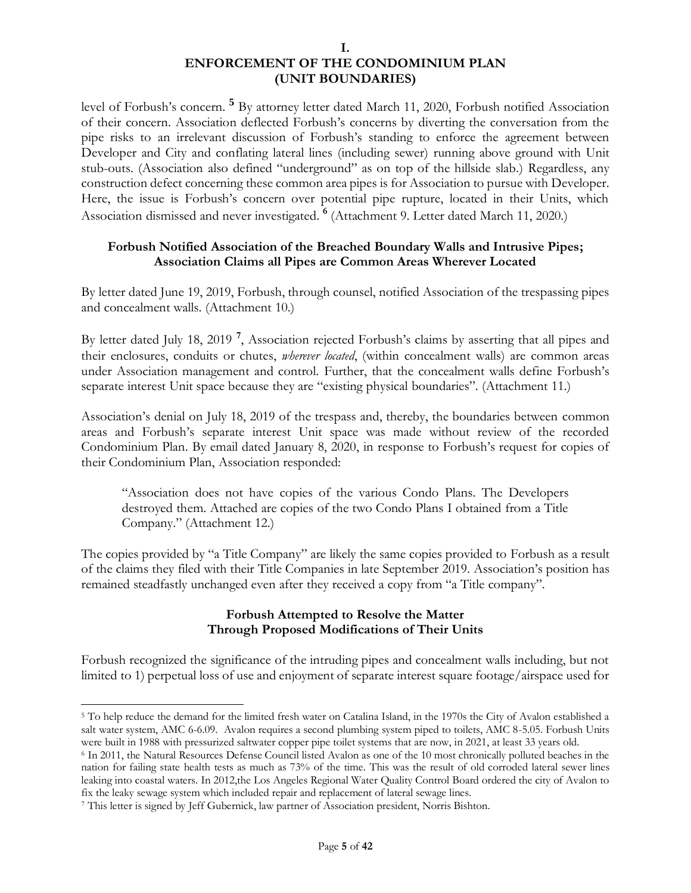level of Forbush's concern. **<sup>5</sup>** By attorney letter dated March 11, 2020, Forbush notified Association of their concern. Association deflected Forbush's concerns by diverting the conversation from the pipe risks to an irrelevant discussion of Forbush's standing to enforce the agreement between Developer and City and conflating lateral lines (including sewer) running above ground with Unit stub-outs. (Association also defined "underground" as on top of the hillside slab.) Regardless, any construction defect concerning these common area pipes is for Association to pursue with Developer. Here, the issue is Forbush's concern over potential pipe rupture, located in their Units, which Association dismissed and never investigated. **<sup>6</sup>** (Attachment 9. Letter dated March 11, 2020.)

### **Forbush Notified Association of the Breached Boundary Walls and Intrusive Pipes; Association Claims all Pipes are Common Areas Wherever Located**

By letter dated June 19, 2019, Forbush, through counsel, notified Association of the trespassing pipes and concealment walls. (Attachment 10.)

By letter dated July 18, 2019 **<sup>7</sup>** , Association rejected Forbush's claims by asserting that all pipes and their enclosures, conduits or chutes, *wherever located*, (within concealment walls) are common areas under Association management and control. Further, that the concealment walls define Forbush's separate interest Unit space because they are "existing physical boundaries". (Attachment 11.)

Association's denial on July 18, 2019 of the trespass and, thereby, the boundaries between common areas and Forbush's separate interest Unit space was made without review of the recorded Condominium Plan. By email dated January 8, 2020, in response to Forbush's request for copies of their Condominium Plan, Association responded:

"Association does not have copies of the various Condo Plans. The Developers destroyed them. Attached are copies of the two Condo Plans I obtained from a Title Company." (Attachment 12.)

The copies provided by "a Title Company" are likely the same copies provided to Forbush as a result of the claims they filed with their Title Companies in late September 2019. Association's position has remained steadfastly unchanged even after they received a copy from "a Title company".

### **Forbush Attempted to Resolve the Matter Through Proposed Modifications of Their Units**

Forbush recognized the significance of the intruding pipes and concealment walls including, but not limited to 1) perpetual loss of use and enjoyment of separate interest square footage/airspace used for

<sup>5</sup> To help reduce the demand for the limited fresh water on Catalina Island, in the 1970s the City of Avalon established a salt water system, AMC 6-6.09. Avalon requires a second plumbing system piped to toilets, AMC 8-5.05. Forbush Units were built in 1988 with pressurized saltwater copper pipe toilet systems that are now, in 2021, at least 33 years old.

<sup>6</sup> In 2011, the Natural Resources Defense Council listed Avalon as one of the 10 most chronically polluted beaches in the nation for failing state health tests as much as 73% of the time. This was the result of old corroded lateral sewer lines leaking into coastal waters. In 2012,the Los Angeles Regional Water Quality Control Board ordered the city of Avalon to fix the leaky sewage system which included repair and replacement of lateral sewage lines.

<sup>7</sup> This letter is signed by Jeff Gubernick, law partner of Association president, Norris Bishton.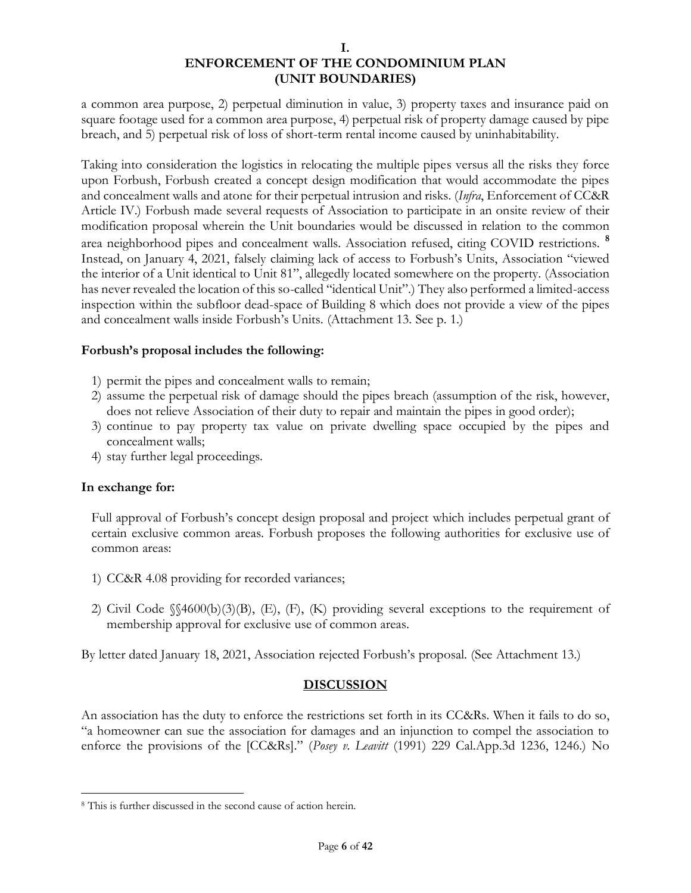a common area purpose, 2) perpetual diminution in value, 3) property taxes and insurance paid on square footage used for a common area purpose, 4) perpetual risk of property damage caused by pipe breach, and 5) perpetual risk of loss of short-term rental income caused by uninhabitability.

Taking into consideration the logistics in relocating the multiple pipes versus all the risks they force upon Forbush, Forbush created a concept design modification that would accommodate the pipes and concealment walls and atone for their perpetual intrusion and risks. (*Infra*, Enforcement of CC&R Article IV.) Forbush made several requests of Association to participate in an onsite review of their modification proposal wherein the Unit boundaries would be discussed in relation to the common area neighborhood pipes and concealment walls. Association refused, citing COVID restrictions. **<sup>8</sup>** Instead, on January 4, 2021, falsely claiming lack of access to Forbush's Units, Association "viewed the interior of a Unit identical to Unit 81", allegedly located somewhere on the property. (Association has never revealed the location of this so-called "identical Unit".) They also performed a limited-access inspection within the subfloor dead-space of Building 8 which does not provide a view of the pipes and concealment walls inside Forbush's Units. (Attachment 13. See p. 1.)

### **Forbush's proposal includes the following:**

- 1) permit the pipes and concealment walls to remain;
- 2) assume the perpetual risk of damage should the pipes breach (assumption of the risk, however, does not relieve Association of their duty to repair and maintain the pipes in good order);
- 3) continue to pay property tax value on private dwelling space occupied by the pipes and concealment walls;
- 4) stay further legal proceedings.

#### **In exchange for:**

Full approval of Forbush's concept design proposal and project which includes perpetual grant of certain exclusive common areas. Forbush proposes the following authorities for exclusive use of common areas:

- 1) CC&R 4.08 providing for recorded variances;
- 2) Civil Code §§4600(b)(3)(B), (E), (F), (K) providing several exceptions to the requirement of membership approval for exclusive use of common areas.

By letter dated January 18, 2021, Association rejected Forbush's proposal. (See Attachment 13.)

### **DISCUSSION**

An association has the duty to enforce the restrictions set forth in its CC&Rs. When it fails to do so, "a homeowner can sue the association for damages and an injunction to compel the association to enforce the provisions of the [CC&Rs]." (*Posey v. Leavitt* (1991) 229 Cal.App.3d 1236, 1246.) No

<sup>8</sup> This is further discussed in the second cause of action herein.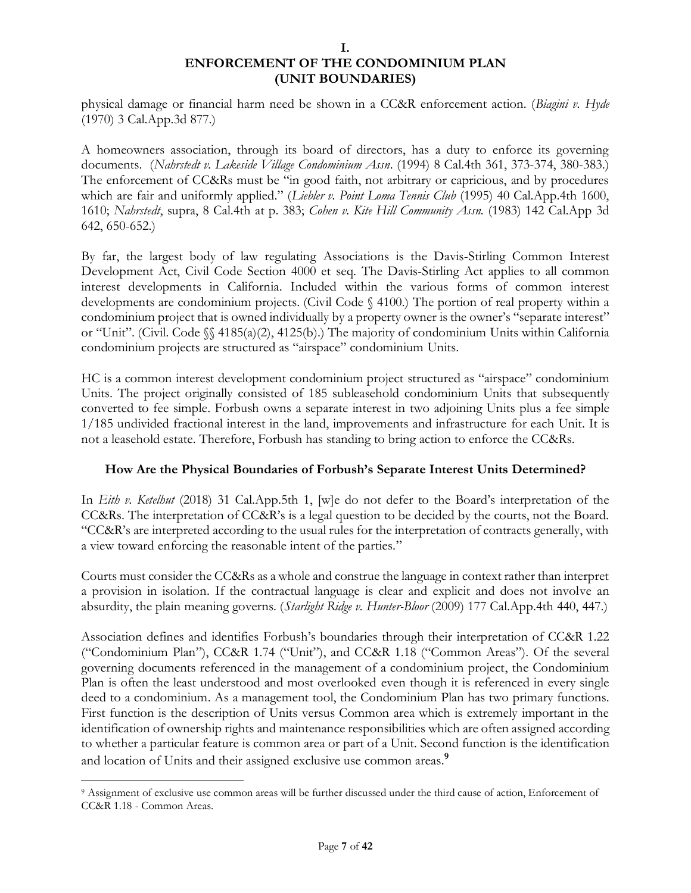physical damage or financial harm need be shown in a CC&R enforcement action. (*Biagini v. Hyde* (1970) 3 Cal.App.3d 877.)

A homeowners association, through its board of directors, has a duty to enforce its governing documents. (*Nahrstedt v. Lakeside Village Condominium Assn*. (1994) 8 Cal.4th 361, 373-374, 380-383.) The enforcement of CC&Rs must be "in good faith, not arbitrary or capricious, and by procedures which are fair and uniformly applied." (*Liebler v. Point Loma Tennis Club* (1995) 40 Cal.App.4th 1600, 1610; *Nahrstedt*, supra, 8 Cal.4th at p. 383; *Cohen v. Kite Hill Community Assn.* (1983) 142 Cal.App 3d 642, 650-652.)

By far, the largest body of law regulating Associations is the Davis-Stirling Common Interest Development Act, Civil Code Section 4000 et seq. The Davis-Stirling Act applies to all common interest developments in California. Included within the various forms of common interest developments are condominium projects. (Civil Code § 4100.) The portion of real property within a condominium project that is owned individually by a property owner is the owner's "separate interest" or "Unit". (Civil. Code §§ 4185(a)(2), 4125(b).) The majority of condominium Units within California condominium projects are structured as "airspace" condominium Units.

HC is a common interest development condominium project structured as "airspace" condominium Units. The project originally consisted of 185 subleasehold condominium Units that subsequently converted to fee simple. Forbush owns a separate interest in two adjoining Units plus a fee simple 1/185 undivided fractional interest in the land, improvements and infrastructure for each Unit. It is not a leasehold estate. Therefore, Forbush has standing to bring action to enforce the CC&Rs.

# **How Are the Physical Boundaries of Forbush's Separate Interest Units Determined?**

In *Eith v. Ketelhut* (2018) 31 Cal.App.5th 1, [w]e do not defer to the Board's interpretation of the CC&Rs. The interpretation of CC&R's is a legal question to be decided by the courts, not the Board. "CC&R's are interpreted according to the usual rules for the interpretation of contracts generally, with a view toward enforcing the reasonable intent of the parties."

Courts must consider the CC&Rs as a whole and construe the language in context rather than interpret a provision in isolation. If the contractual language is clear and explicit and does not involve an absurdity, the plain meaning governs. (*Starlight Ridge v. Hunter-Bloor* (2009) 177 Cal.App.4th 440, 447.)

Association defines and identifies Forbush's boundaries through their interpretation of CC&R 1.22 ("Condominium Plan"), CC&R 1.74 ("Unit"), and CC&R 1.18 ("Common Areas"). Of the several governing documents referenced in the management of a condominium project, the Condominium Plan is often the least understood and most overlooked even though it is referenced in every single deed to a condominium. As a management tool, the Condominium Plan has two primary functions. First function is the description of Units versus Common area which is extremely important in the identification of ownership rights and maintenance responsibilities which are often assigned according to whether a particular feature is common area or part of a Unit. Second function is the identification and location of Units and their assigned exclusive use common areas. **9**

<sup>9</sup> Assignment of exclusive use common areas will be further discussed under the third cause of action, Enforcement of CC&R 1.18 - Common Areas.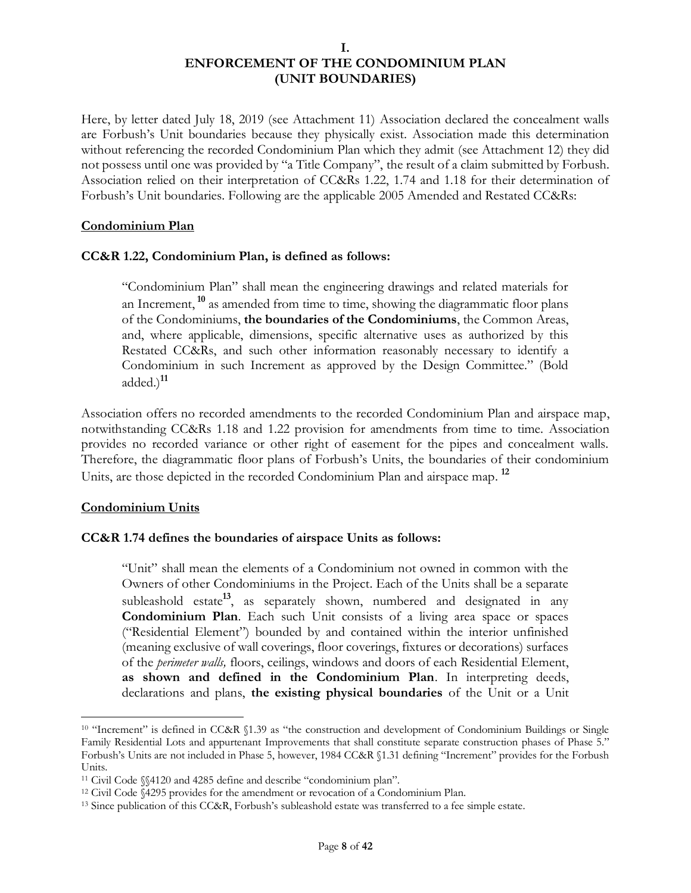Here, by letter dated July 18, 2019 (see Attachment 11) Association declared the concealment walls are Forbush's Unit boundaries because they physically exist. Association made this determination without referencing the recorded Condominium Plan which they admit (see Attachment 12) they did not possess until one was provided by "a Title Company", the result of a claim submitted by Forbush. Association relied on their interpretation of CC&Rs 1.22, 1.74 and 1.18 for their determination of Forbush's Unit boundaries. Following are the applicable 2005 Amended and Restated CC&Rs:

### **Condominium Plan**

#### **CC&R 1.22, Condominium Plan, is defined as follows:**

"Condominium Plan" shall mean the engineering drawings and related materials for an Increment, **<sup>10</sup>** as amended from time to time, showing the diagrammatic floor plans of the Condominiums, **the boundaries of the Condominiums**, the Common Areas, and, where applicable, dimensions, specific alternative uses as authorized by this Restated CC&Rs, and such other information reasonably necessary to identify a Condominium in such Increment as approved by the Design Committee." (Bold added.)**<sup>11</sup>**

Association offers no recorded amendments to the recorded Condominium Plan and airspace map, notwithstanding CC&Rs 1.18 and 1.22 provision for amendments from time to time. Association provides no recorded variance or other right of easement for the pipes and concealment walls. Therefore, the diagrammatic floor plans of Forbush's Units, the boundaries of their condominium Units, are those depicted in the recorded Condominium Plan and airspace map. **12**

#### **Condominium Units**

### **CC&R 1.74 defines the boundaries of airspace Units as follows:**

"Unit" shall mean the elements of a Condominium not owned in common with the Owners of other Condominiums in the Project. Each of the Units shall be a separate subleashold estate**13**, as separately shown, numbered and designated in any **Condominium Plan**. Each such Unit consists of a living area space or spaces ("Residential Element") bounded by and contained within the interior unfinished (meaning exclusive of wall coverings, floor coverings, fixtures or decorations) surfaces of the *perimeter walls,* floors, ceilings, windows and doors of each Residential Element, **as shown and defined in the Condominium Plan**. In interpreting deeds, declarations and plans, **the existing physical boundaries** of the Unit or a Unit

<sup>&</sup>lt;sup>10</sup> "Increment" is defined in CC&R §1.39 as "the construction and development of Condominium Buildings or Single Family Residential Lots and appurtenant Improvements that shall constitute separate construction phases of Phase 5." Forbush's Units are not included in Phase 5, however, 1984 CC&R §1.31 defining "Increment" provides for the Forbush Units.

<sup>11</sup> Civil Code §§4120 and 4285 define and describe "condominium plan".

<sup>12</sup> Civil Code §4295 provides for the amendment or revocation of a Condominium Plan.

<sup>&</sup>lt;sup>13</sup> Since publication of this CC&R, Forbush's subleashold estate was transferred to a fee simple estate.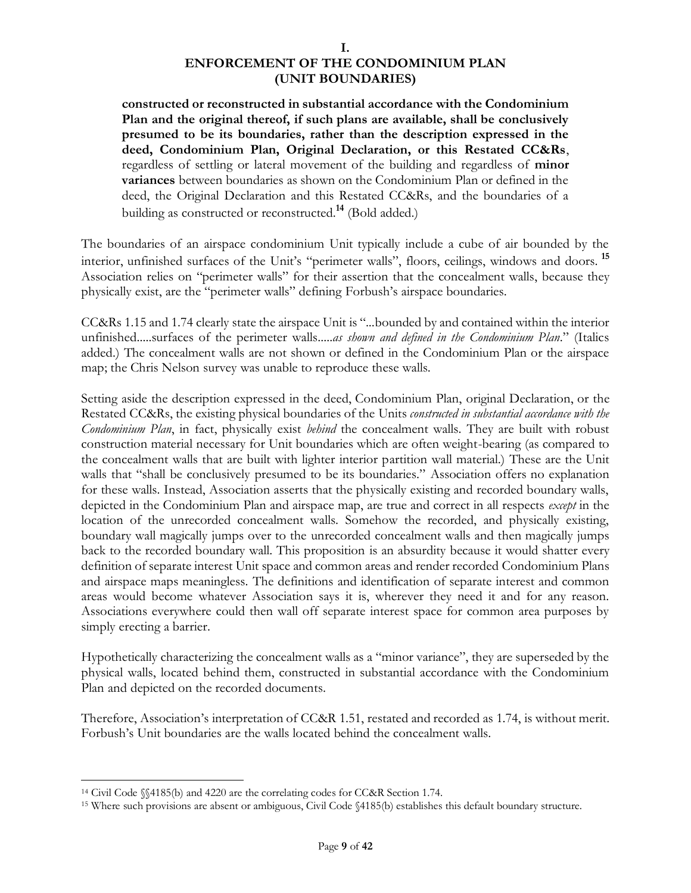**constructed or reconstructed in substantial accordance with the Condominium Plan and the original thereof, if such plans are available, shall be conclusively presumed to be its boundaries, rather than the description expressed in the deed, Condominium Plan, Original Declaration, or this Restated CC&Rs**, regardless of settling or lateral movement of the building and regardless of **minor variances** between boundaries as shown on the Condominium Plan or defined in the deed, the Original Declaration and this Restated CC&Rs, and the boundaries of a building as constructed or reconstructed.**<sup>14</sup>** (Bold added.)

The boundaries of an airspace condominium Unit typically include a cube of air bounded by the interior, unfinished surfaces of the Unit's "perimeter walls", floors, ceilings, windows and doors. **<sup>15</sup>** Association relies on "perimeter walls" for their assertion that the concealment walls, because they physically exist, are the "perimeter walls" defining Forbush's airspace boundaries.

CC&Rs 1.15 and 1.74 clearly state the airspace Unit is "...bounded by and contained within the interior unfinished.....surfaces of the perimeter walls.....*as shown and defined in the Condominium Plan*." (Italics added.) The concealment walls are not shown or defined in the Condominium Plan or the airspace map; the Chris Nelson survey was unable to reproduce these walls.

Setting aside the description expressed in the deed, Condominium Plan, original Declaration, or the Restated CC&Rs, the existing physical boundaries of the Units *constructed in substantial accordance with the Condominium Plan*, in fact, physically exist *behind* the concealment walls. They are built with robust construction material necessary for Unit boundaries which are often weight-bearing (as compared to the concealment walls that are built with lighter interior partition wall material.) These are the Unit walls that "shall be conclusively presumed to be its boundaries." Association offers no explanation for these walls. Instead, Association asserts that the physically existing and recorded boundary walls, depicted in the Condominium Plan and airspace map, are true and correct in all respects *except* in the location of the unrecorded concealment walls. Somehow the recorded, and physically existing, boundary wall magically jumps over to the unrecorded concealment walls and then magically jumps back to the recorded boundary wall. This proposition is an absurdity because it would shatter every definition of separate interest Unit space and common areas and render recorded Condominium Plans and airspace maps meaningless. The definitions and identification of separate interest and common areas would become whatever Association says it is, wherever they need it and for any reason. Associations everywhere could then wall off separate interest space for common area purposes by simply erecting a barrier.

Hypothetically characterizing the concealment walls as a "minor variance", they are superseded by the physical walls, located behind them, constructed in substantial accordance with the Condominium Plan and depicted on the recorded documents.

Therefore, Association's interpretation of CC&R 1.51, restated and recorded as 1.74, is without merit. Forbush's Unit boundaries are the walls located behind the concealment walls.

<sup>14</sup> Civil Code §§4185(b) and 4220 are the correlating codes for CC&R Section 1.74.

<sup>15</sup> Where such provisions are absent or ambiguous, Civil Code §4185(b) establishes this default boundary structure.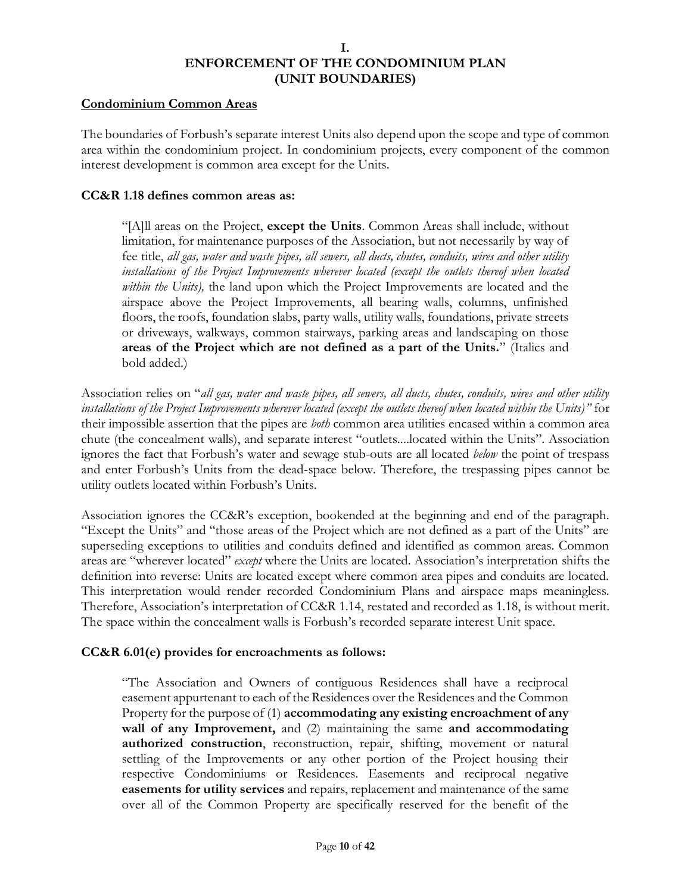#### **Condominium Common Areas**

The boundaries of Forbush's separate interest Units also depend upon the scope and type of common area within the condominium project. In condominium projects, every component of the common interest development is common area except for the Units.

#### **CC&R 1.18 defines common areas as:**

"[A]ll areas on the Project, **except the Units**. Common Areas shall include, without limitation, for maintenance purposes of the Association, but not necessarily by way of fee title, *all gas, water and waste pipes, all sewers, all ducts, chutes, conduits, wires and other utility installations of the Project Improvements wherever located (except the outlets thereof when located within the Units),* the land upon which the Project Improvements are located and the airspace above the Project Improvements, all bearing walls, columns, unfinished floors, the roofs, foundation slabs, party walls, utility walls, foundations, private streets or driveways, walkways, common stairways, parking areas and landscaping on those **areas of the Project which are not defined as a part of the Units.**" (Italics and bold added.)

Association relies on "*all gas, water and waste pipes, all sewers, all ducts, chutes, conduits, wires and other utility installations of the Project Improvements wherever located (except the outlets thereof when located within the Units)"* for their impossible assertion that the pipes are *both* common area utilities encased within a common area chute (the concealment walls), and separate interest "outlets....located within the Units". Association ignores the fact that Forbush's water and sewage stub-outs are all located *below* the point of trespass and enter Forbush's Units from the dead-space below. Therefore, the trespassing pipes cannot be utility outlets located within Forbush's Units.

Association ignores the CC&R's exception, bookended at the beginning and end of the paragraph. "Except the Units" and "those areas of the Project which are not defined as a part of the Units" are superseding exceptions to utilities and conduits defined and identified as common areas. Common areas are "wherever located" *except* where the Units are located. Association's interpretation shifts the definition into reverse: Units are located except where common area pipes and conduits are located. This interpretation would render recorded Condominium Plans and airspace maps meaningless. Therefore, Association's interpretation of CC&R 1.14, restated and recorded as 1.18, is without merit. The space within the concealment walls is Forbush's recorded separate interest Unit space.

### **CC&R 6.01(e) provides for encroachments as follows:**

"The Association and Owners of contiguous Residences shall have a reciprocal easement appurtenant to each of the Residences over the Residences and the Common Property for the purpose of (1) **accommodating any existing encroachment of any wall of any Improvement,** and (2) maintaining the same **and accommodating authorized construction**, reconstruction, repair, shifting, movement or natural settling of the Improvements or any other portion of the Project housing their respective Condominiums or Residences. Easements and reciprocal negative **easements for utility services** and repairs, replacement and maintenance of the same over all of the Common Property are specifically reserved for the benefit of the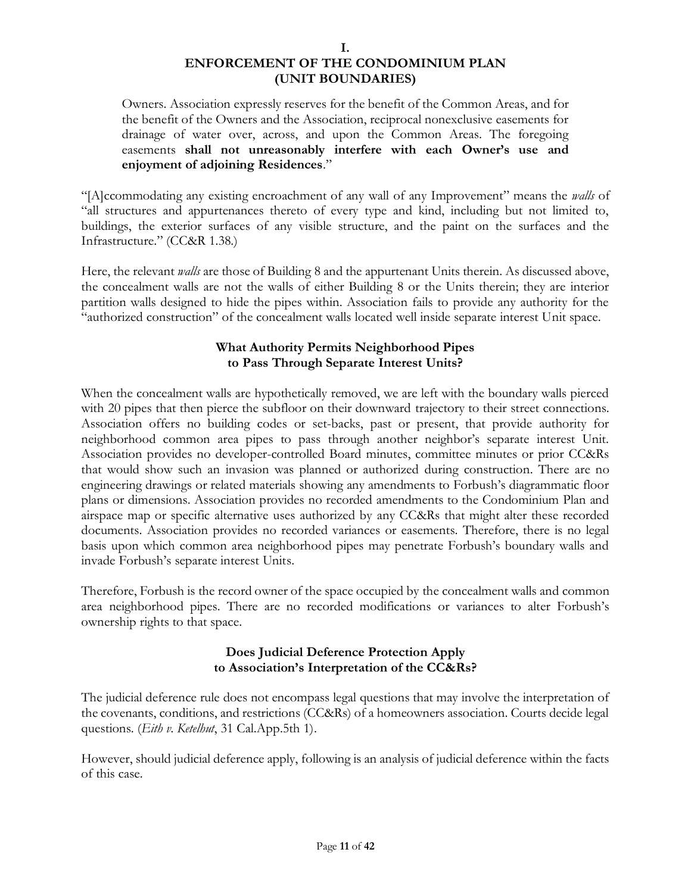#### **I.**

# **ENFORCEMENT OF THE CONDOMINIUM PLAN (UNIT BOUNDARIES)**

Owners. Association expressly reserves for the benefit of the Common Areas, and for the benefit of the Owners and the Association, reciprocal nonexclusive easements for drainage of water over, across, and upon the Common Areas. The foregoing easements **shall not unreasonably interfere with each Owner's use and enjoyment of adjoining Residences**."

"[A]ccommodating any existing encroachment of any wall of any Improvement" means the *walls* of "all structures and appurtenances thereto of every type and kind, including but not limited to, buildings, the exterior surfaces of any visible structure, and the paint on the surfaces and the Infrastructure." (CC&R 1.38.)

Here, the relevant *walls* are those of Building 8 and the appurtenant Units therein. As discussed above, the concealment walls are not the walls of either Building 8 or the Units therein; they are interior partition walls designed to hide the pipes within. Association fails to provide any authority for the "authorized construction" of the concealment walls located well inside separate interest Unit space.

# **What Authority Permits Neighborhood Pipes to Pass Through Separate Interest Units?**

When the concealment walls are hypothetically removed, we are left with the boundary walls pierced with 20 pipes that then pierce the subfloor on their downward trajectory to their street connections. Association offers no building codes or set-backs, past or present, that provide authority for neighborhood common area pipes to pass through another neighbor's separate interest Unit. Association provides no developer-controlled Board minutes, committee minutes or prior CC&Rs that would show such an invasion was planned or authorized during construction. There are no engineering drawings or related materials showing any amendments to Forbush's diagrammatic floor plans or dimensions. Association provides no recorded amendments to the Condominium Plan and airspace map or specific alternative uses authorized by any CC&Rs that might alter these recorded documents. Association provides no recorded variances or easements. Therefore, there is no legal basis upon which common area neighborhood pipes may penetrate Forbush's boundary walls and invade Forbush's separate interest Units.

Therefore, Forbush is the record owner of the space occupied by the concealment walls and common area neighborhood pipes. There are no recorded modifications or variances to alter Forbush's ownership rights to that space.

### **Does Judicial Deference Protection Apply to Association's Interpretation of the CC&Rs?**

The judicial deference rule does not encompass legal questions that may involve the interpretation of the covenants, conditions, and restrictions (CC&Rs) of a homeowners association. Courts decide legal questions. (*Eith v. Ketelhut*, 31 Cal.App.5th 1).

However, should judicial deference apply, following is an analysis of judicial deference within the facts of this case.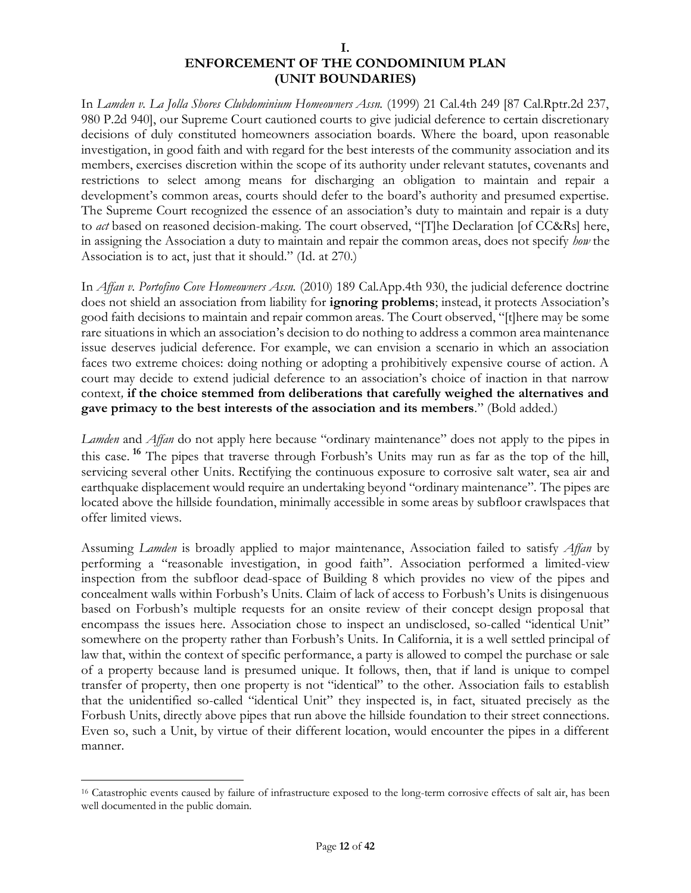In *Lamden v. La Jolla Shores Clubdominium Homeowners Assn.* (1999) 21 Cal.4th 249 [87 Cal.Rptr.2d 237, 980 P.2d 940], our Supreme Court cautioned courts to give judicial deference to certain discretionary decisions of duly constituted homeowners association boards. Where the board, upon reasonable investigation, in good faith and with regard for the best interests of the community association and its members, exercises discretion within the scope of its authority under relevant statutes, covenants and restrictions to select among means for discharging an obligation to maintain and repair a development's common areas, courts should defer to the board's authority and presumed expertise. The Supreme Court recognized the essence of an association's duty to maintain and repair is a duty to *act* based on reasoned decision-making. The court observed, "[T]he Declaration [of CC&Rs] here, in assigning the Association a duty to maintain and repair the common areas, does not specify *how* the Association is to act, just that it should." (Id. at 270.)

In *Affan v. Portofino Cove Homeowners Assn.* (2010) 189 Cal.App.4th 930, the judicial deference doctrine does not shield an association from liability for **ignoring problems**; instead, it protects Association's good faith decisions to maintain and repair common areas. The Court observed, "[t]here may be some rare situations in which an association's decision to do nothing to address a common area maintenance issue deserves judicial deference. For example, we can envision a scenario in which an association faces two extreme choices: doing nothing or adopting a prohibitively expensive course of action. A court may decide to extend judicial deference to an association's choice of inaction in that narrow context*,* **if the choice stemmed from deliberations that carefully weighed the alternatives and gave primacy to the best interests of the association and its members***.*" (Bold added.)

*Lamden* and *Affan* do not apply here because "ordinary maintenance" does not apply to the pipes in this case. **<sup>16</sup>** The pipes that traverse through Forbush's Units may run as far as the top of the hill, servicing several other Units. Rectifying the continuous exposure to corrosive salt water, sea air and earthquake displacement would require an undertaking beyond "ordinary maintenance". The pipes are located above the hillside foundation, minimally accessible in some areas by subfloor crawlspaces that offer limited views.

Assuming *Lamden* is broadly applied to major maintenance, Association failed to satisfy *Affan* by performing a "reasonable investigation, in good faith". Association performed a limited-view inspection from the subfloor dead-space of Building 8 which provides no view of the pipes and concealment walls within Forbush's Units. Claim of lack of access to Forbush's Units is disingenuous based on Forbush's multiple requests for an onsite review of their concept design proposal that encompass the issues here. Association chose to inspect an undisclosed, so-called "identical Unit" somewhere on the property rather than Forbush's Units. In California, it is a well settled principal of law that, within the context of specific performance, a party is allowed to compel the purchase or sale of a property because land is presumed unique. It follows, then, that if land is unique to compel transfer of property, then one property is not "identical" to the other. Association fails to establish that the unidentified so-called "identical Unit" they inspected is, in fact, situated precisely as the Forbush Units, directly above pipes that run above the hillside foundation to their street connections. Even so, such a Unit, by virtue of their different location, would encounter the pipes in a different manner.

<sup>&</sup>lt;sup>16</sup> Catastrophic events caused by failure of infrastructure exposed to the long-term corrosive effects of salt air, has been well documented in the public domain.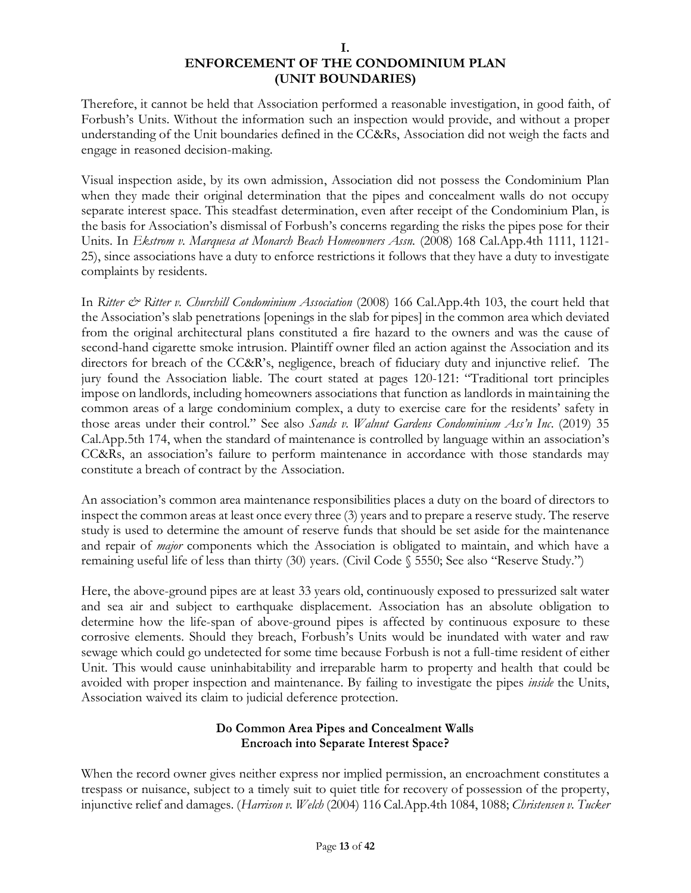Therefore, it cannot be held that Association performed a reasonable investigation, in good faith, of Forbush's Units. Without the information such an inspection would provide, and without a proper understanding of the Unit boundaries defined in the CC&Rs, Association did not weigh the facts and engage in reasoned decision-making.

Visual inspection aside, by its own admission, Association did not possess the Condominium Plan when they made their original determination that the pipes and concealment walls do not occupy separate interest space. This steadfast determination, even after receipt of the Condominium Plan, is the basis for Association's dismissal of Forbush's concerns regarding the risks the pipes pose for their Units. In *Ekstrom v. Marquesa at Monarch Beach Homeowners Assn.* (2008) 168 Cal.App.4th 1111, 1121- 25), since associations have a duty to enforce restrictions it follows that they have a duty to investigate complaints by residents.

In *Ritter & Ritter v. Churchill Condominium Association* (2008) 166 Cal.App.4th 103, the court held that the Association's slab penetrations [openings in the slab for pipes] in the common area which deviated from the original architectural plans constituted a fire hazard to the owners and was the cause of second-hand cigarette smoke intrusion. Plaintiff owner filed an action against the Association and its directors for breach of the CC&R's, negligence, breach of fiduciary duty and injunctive relief. The jury found the Association liable. The court stated at pages 120-121: "Traditional tort principles impose on landlords, including homeowners associations that function as landlords in maintaining the common areas of a large condominium complex, a duty to exercise care for the residents' safety in those areas under their control." See also *Sands v. Walnut Gardens Condominium Ass'n Inc*. (2019) 35 Cal.App.5th 174, when the standard of maintenance is controlled by language within an association's CC&Rs, an association's failure to perform maintenance in accordance with those standards may constitute a breach of contract by the Association.

An association's common area maintenance responsibilities places a duty on the board of directors to inspect the common areas at least once every three (3) years and to prepare a reserve study. The reserve study is used to determine the amount of reserve funds that should be set aside for the maintenance and repair of *major* components which the Association is obligated to maintain, and which have a remaining useful life of less than thirty (30) years. (Civil Code § 5550; See also "Reserve Study.")

Here, the above-ground pipes are at least 33 years old, continuously exposed to pressurized salt water and sea air and subject to earthquake displacement. Association has an absolute obligation to determine how the life-span of above-ground pipes is affected by continuous exposure to these corrosive elements. Should they breach, Forbush's Units would be inundated with water and raw sewage which could go undetected for some time because Forbush is not a full-time resident of either Unit. This would cause uninhabitability and irreparable harm to property and health that could be avoided with proper inspection and maintenance. By failing to investigate the pipes *inside* the Units, Association waived its claim to judicial deference protection.

# **Do Common Area Pipes and Concealment Walls Encroach into Separate Interest Space?**

When the record owner gives neither express nor implied permission, an encroachment constitutes a trespass or nuisance, subject to a timely suit to quiet title for recovery of possession of the property, injunctive relief and damages. (*Harrison v. Welch* (2004) 116 Cal.App.4th 1084, 1088; *Christensen v. Tucker*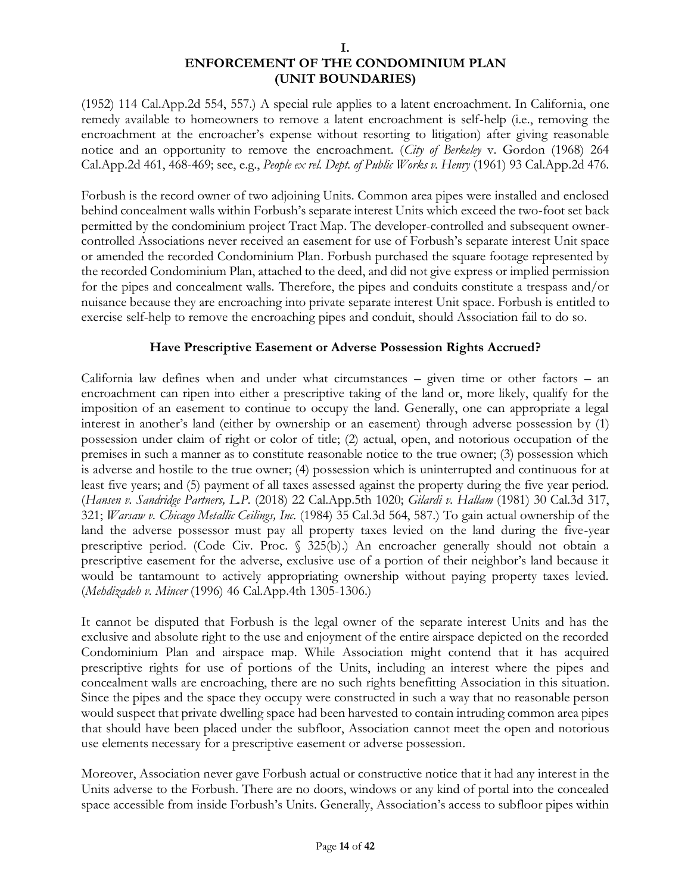(1952) 114 Cal.App.2d 554, 557.) A special rule applies to a latent encroachment. In California, one remedy available to homeowners to remove a latent encroachment is self-help (i.e., removing the encroachment at the encroacher's expense without resorting to litigation) after giving reasonable notice and an opportunity to remove the encroachment. (*City of Berkeley* v. Gordon (1968) 264 Cal.App.2d 461, 468-469; see, e.g., *People ex rel. Dept. of Public Works v. Henry* (1961) 93 Cal.App.2d 476.

Forbush is the record owner of two adjoining Units. Common area pipes were installed and enclosed behind concealment walls within Forbush's separate interest Units which exceed the two-foot set back permitted by the condominium project Tract Map. The developer-controlled and subsequent ownercontrolled Associations never received an easement for use of Forbush's separate interest Unit space or amended the recorded Condominium Plan. Forbush purchased the square footage represented by the recorded Condominium Plan, attached to the deed, and did not give express or implied permission for the pipes and concealment walls. Therefore, the pipes and conduits constitute a trespass and/or nuisance because they are encroaching into private separate interest Unit space. Forbush is entitled to exercise self-help to remove the encroaching pipes and conduit, should Association fail to do so.

# **Have Prescriptive Easement or Adverse Possession Rights Accrued?**

California law defines when and under what circumstances – given time or other factors – an encroachment can ripen into either a prescriptive taking of the land or, more likely, qualify for the imposition of an easement to continue to occupy the land. Generally, one can appropriate a legal interest in another's land (either by ownership or an easement) through adverse possession by (1) possession under claim of right or color of title; (2) actual, open, and notorious occupation of the premises in such a manner as to constitute reasonable notice to the true owner; (3) possession which is adverse and hostile to the true owner; (4) possession which is uninterrupted and continuous for at least five years; and (5) payment of all taxes assessed against the property during the five year period. (*Hansen v. Sandridge Partners, L.P.* (2018) 22 Cal.App.5th 1020; *Gilardi v. Hallam* (1981) 30 Cal.3d 317, 321; *Warsaw v. Chicago Metallic Ceilings, Inc.* (1984) 35 Cal.3d 564, 587.) To gain actual ownership of the land the adverse possessor must pay all property taxes levied on the land during the five-year prescriptive period. (Code Civ. Proc. § 325(b).) An encroacher generally should not obtain a prescriptive easement for the adverse, exclusive use of a portion of their neighbor's land because it would be tantamount to actively appropriating ownership without paying property taxes levied. (*Mehdizadeh v. Mincer* (1996) 46 Cal.App.4th 1305-1306.)

It cannot be disputed that Forbush is the legal owner of the separate interest Units and has the exclusive and absolute right to the use and enjoyment of the entire airspace depicted on the recorded Condominium Plan and airspace map. While Association might contend that it has acquired prescriptive rights for use of portions of the Units, including an interest where the pipes and concealment walls are encroaching, there are no such rights benefitting Association in this situation. Since the pipes and the space they occupy were constructed in such a way that no reasonable person would suspect that private dwelling space had been harvested to contain intruding common area pipes that should have been placed under the subfloor, Association cannot meet the open and notorious use elements necessary for a prescriptive easement or adverse possession.

Moreover, Association never gave Forbush actual or constructive notice that it had any interest in the Units adverse to the Forbush. There are no doors, windows or any kind of portal into the concealed space accessible from inside Forbush's Units. Generally, Association's access to subfloor pipes within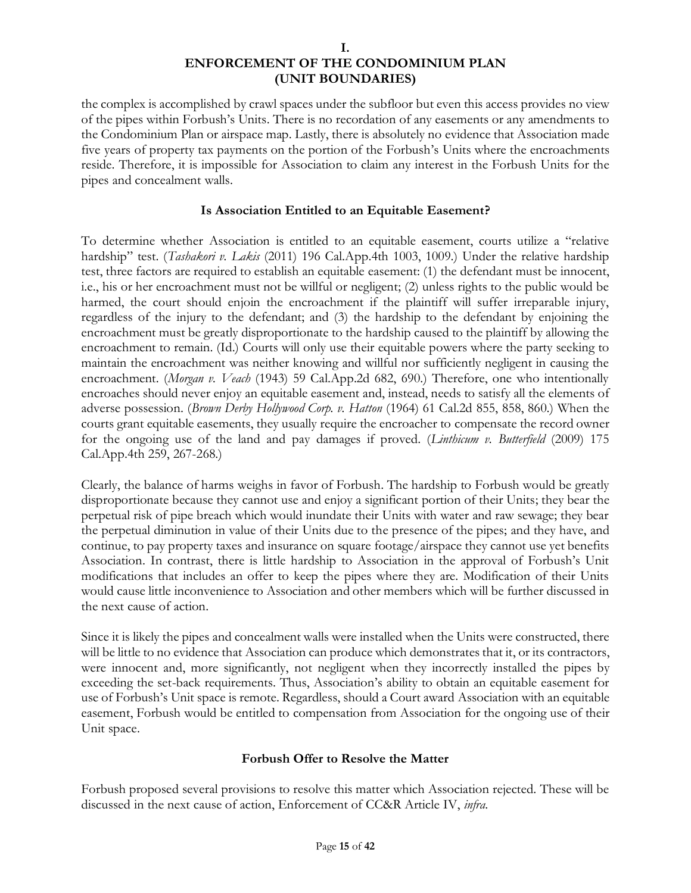the complex is accomplished by crawl spaces under the subfloor but even this access provides no view of the pipes within Forbush's Units. There is no recordation of any easements or any amendments to the Condominium Plan or airspace map. Lastly, there is absolutely no evidence that Association made five years of property tax payments on the portion of the Forbush's Units where the encroachments reside. Therefore, it is impossible for Association to claim any interest in the Forbush Units for the pipes and concealment walls.

# **Is Association Entitled to an Equitable Easement?**

To determine whether Association is entitled to an equitable easement, courts utilize a "relative hardship" test. (*Tashakori v. Lakis* (2011) 196 Cal.App.4th 1003, 1009.) Under the relative hardship test, three factors are required to establish an equitable easement: (1) the defendant must be innocent, i.e., his or her encroachment must not be willful or negligent; (2) unless rights to the public would be harmed, the court should enjoin the encroachment if the plaintiff will suffer irreparable injury, regardless of the injury to the defendant; and (3) the hardship to the defendant by enjoining the encroachment must be greatly disproportionate to the hardship caused to the plaintiff by allowing the encroachment to remain. (Id.) Courts will only use their equitable powers where the party seeking to maintain the encroachment was neither knowing and willful nor sufficiently negligent in causing the encroachment. (*Morgan v. Veach* (1943) 59 Cal.App.2d 682, 690.) Therefore, one who intentionally encroaches should never enjoy an equitable easement and, instead, needs to satisfy all the elements of adverse possession. (*Brown Derby Hollywood Corp. v. Hatton* (1964) 61 Cal.2d 855, 858, 860.) When the courts grant equitable easements, they usually require the encroacher to compensate the record owner for the ongoing use of the land and pay damages if proved. (*Linthicum v. Butterfield* (2009) 175 Cal.App.4th 259, 267-268.)

Clearly, the balance of harms weighs in favor of Forbush. The hardship to Forbush would be greatly disproportionate because they cannot use and enjoy a significant portion of their Units; they bear the perpetual risk of pipe breach which would inundate their Units with water and raw sewage; they bear the perpetual diminution in value of their Units due to the presence of the pipes; and they have, and continue, to pay property taxes and insurance on square footage/airspace they cannot use yet benefits Association. In contrast, there is little hardship to Association in the approval of Forbush's Unit modifications that includes an offer to keep the pipes where they are. Modification of their Units would cause little inconvenience to Association and other members which will be further discussed in the next cause of action.

Since it is likely the pipes and concealment walls were installed when the Units were constructed, there will be little to no evidence that Association can produce which demonstrates that it, or its contractors, were innocent and, more significantly, not negligent when they incorrectly installed the pipes by exceeding the set-back requirements. Thus, Association's ability to obtain an equitable easement for use of Forbush's Unit space is remote. Regardless, should a Court award Association with an equitable easement, Forbush would be entitled to compensation from Association for the ongoing use of their Unit space.

### **Forbush Offer to Resolve the Matter**

Forbush proposed several provisions to resolve this matter which Association rejected. These will be discussed in the next cause of action, Enforcement of CC&R Article IV, *infra*.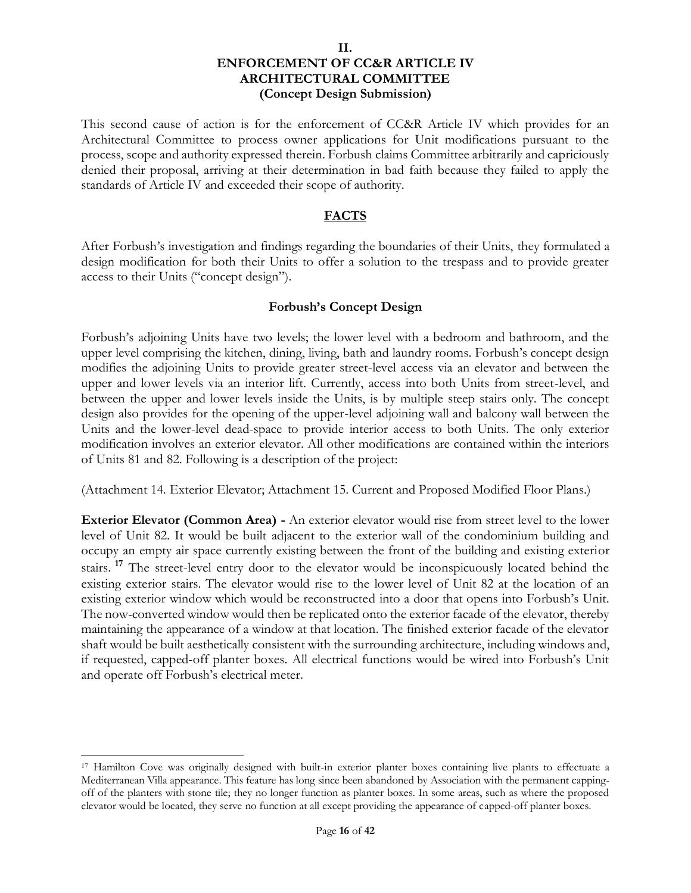This second cause of action is for the enforcement of CC&R Article IV which provides for an Architectural Committee to process owner applications for Unit modifications pursuant to the process, scope and authority expressed therein. Forbush claims Committee arbitrarily and capriciously denied their proposal, arriving at their determination in bad faith because they failed to apply the standards of Article IV and exceeded their scope of authority.

### **FACTS**

After Forbush's investigation and findings regarding the boundaries of their Units, they formulated a design modification for both their Units to offer a solution to the trespass and to provide greater access to their Units ("concept design").

### **Forbush's Concept Design**

Forbush's adjoining Units have two levels; the lower level with a bedroom and bathroom, and the upper level comprising the kitchen, dining, living, bath and laundry rooms. Forbush's concept design modifies the adjoining Units to provide greater street-level access via an elevator and between the upper and lower levels via an interior lift. Currently, access into both Units from street-level, and between the upper and lower levels inside the Units, is by multiple steep stairs only. The concept design also provides for the opening of the upper-level adjoining wall and balcony wall between the Units and the lower-level dead-space to provide interior access to both Units. The only exterior modification involves an exterior elevator. All other modifications are contained within the interiors of Units 81 and 82. Following is a description of the project:

(Attachment 14. Exterior Elevator; Attachment 15. Current and Proposed Modified Floor Plans.)

**Exterior Elevator (Common Area) -** An exterior elevator would rise from street level to the lower level of Unit 82. It would be built adjacent to the exterior wall of the condominium building and occupy an empty air space currently existing between the front of the building and existing exterior stairs. **<sup>17</sup>** The street-level entry door to the elevator would be inconspicuously located behind the existing exterior stairs. The elevator would rise to the lower level of Unit 82 at the location of an existing exterior window which would be reconstructed into a door that opens into Forbush's Unit. The now-converted window would then be replicated onto the exterior facade of the elevator, thereby maintaining the appearance of a window at that location. The finished exterior facade of the elevator shaft would be built aesthetically consistent with the surrounding architecture, including windows and, if requested, capped-off planter boxes. All electrical functions would be wired into Forbush's Unit and operate off Forbush's electrical meter.

<sup>17</sup> Hamilton Cove was originally designed with built-in exterior planter boxes containing live plants to effectuate a Mediterranean Villa appearance. This feature has long since been abandoned by Association with the permanent cappingoff of the planters with stone tile; they no longer function as planter boxes. In some areas, such as where the proposed elevator would be located, they serve no function at all except providing the appearance of capped-off planter boxes.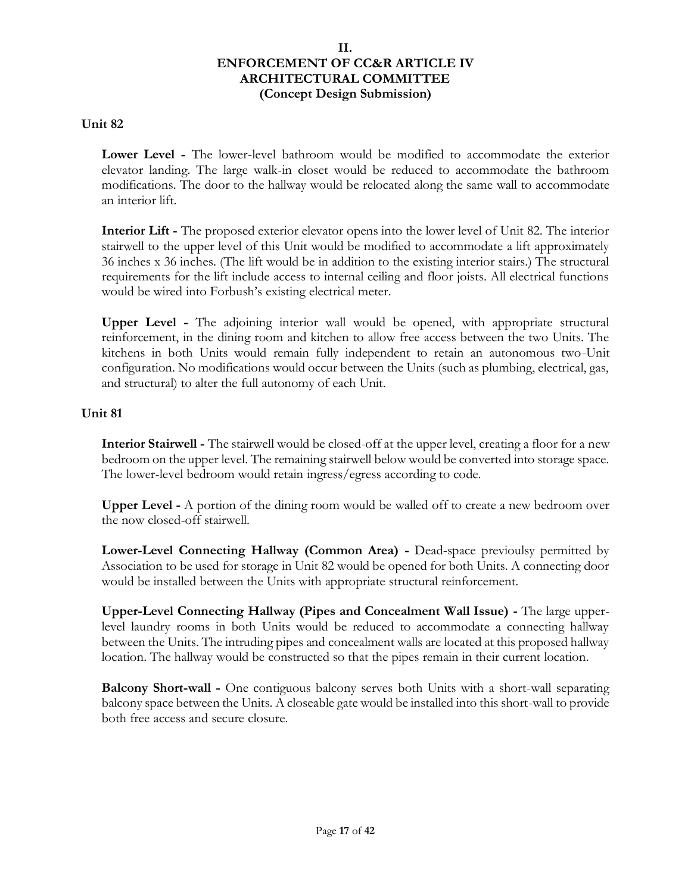### **Unit 82**

**Lower Level -** The lower-level bathroom would be modified to accommodate the exterior elevator landing. The large walk-in closet would be reduced to accommodate the bathroom modifications. The door to the hallway would be relocated along the same wall to accommodate an interior lift.

**Interior Lift -** The proposed exterior elevator opens into the lower level of Unit 82. The interior stairwell to the upper level of this Unit would be modified to accommodate a lift approximately 36 inches x 36 inches. (The lift would be in addition to the existing interior stairs.) The structural requirements for the lift include access to internal ceiling and floor joists. All electrical functions would be wired into Forbush's existing electrical meter.

**Upper Level -** The adjoining interior wall would be opened, with appropriate structural reinforcement, in the dining room and kitchen to allow free access between the two Units. The kitchens in both Units would remain fully independent to retain an autonomous two-Unit configuration. No modifications would occur between the Units (such as plumbing, electrical, gas, and structural) to alter the full autonomy of each Unit.

# **Unit 81**

**Interior Stairwell -** The stairwell would be closed-off at the upper level, creating a floor for a new bedroom on the upper level. The remaining stairwell below would be converted into storage space. The lower-level bedroom would retain ingress/egress according to code.

**Upper Level -** A portion of the dining room would be walled off to create a new bedroom over the now closed-off stairwell.

**Lower-Level Connecting Hallway (Common Area) -** Dead-space previoulsy permitted by Association to be used for storage in Unit 82 would be opened for both Units. A connecting door would be installed between the Units with appropriate structural reinforcement.

**Upper-Level Connecting Hallway (Pipes and Concealment Wall Issue) -** The large upperlevel laundry rooms in both Units would be reduced to accommodate a connecting hallway between the Units. The intruding pipes and concealment walls are located at this proposed hallway location. The hallway would be constructed so that the pipes remain in their current location.

**Balcony Short-wall -** One contiguous balcony serves both Units with a short-wall separating balcony space between the Units. A closeable gate would be installed into this short-wall to provide both free access and secure closure.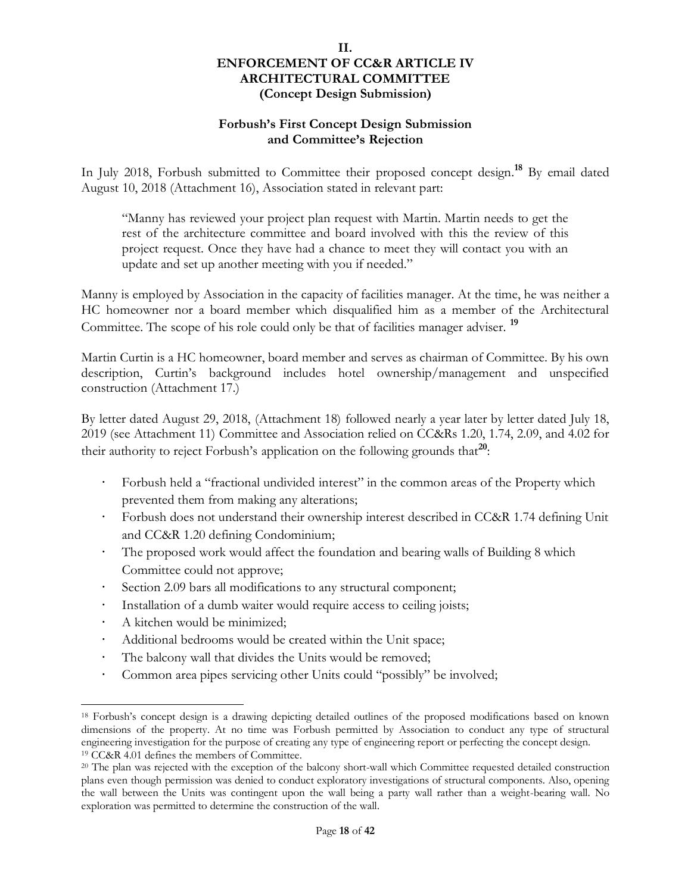### **Forbush's First Concept Design Submission and Committee's Rejection**

In July 2018, Forbush submitted to Committee their proposed concept design.**<sup>18</sup>** By email dated August 10, 2018 (Attachment 16), Association stated in relevant part:

"Manny has reviewed your project plan request with Martin. Martin needs to get the rest of the architecture committee and board involved with this the review of this project request. Once they have had a chance to meet they will contact you with an update and set up another meeting with you if needed."

Manny is employed by Association in the capacity of facilities manager. At the time, he was neither a HC homeowner nor a board member which disqualified him as a member of the Architectural Committee. The scope of his role could only be that of facilities manager adviser. **<sup>19</sup>**

Martin Curtin is a HC homeowner, board member and serves as chairman of Committee. By his own description, Curtin's background includes hotel ownership/management and unspecified construction (Attachment 17.)

By letter dated August 29, 2018, (Attachment 18) followed nearly a year later by letter dated July 18, 2019 (see Attachment 11) Committee and Association relied on CC&Rs 1.20, 1.74, 2.09, and 4.02 for their authority to reject Forbush's application on the following grounds that<sup>20</sup>:

- Forbush held a "fractional undivided interest" in the common areas of the Property which prevented them from making any alterations;
- Forbush does not understand their ownership interest described in CC&R 1.74 defining Unit and CC&R 1.20 defining Condominium;
- The proposed work would affect the foundation and bearing walls of Building 8 which Committee could not approve;
- Section 2.09 bars all modifications to any structural component;
- Installation of a dumb waiter would require access to ceiling joists;
- A kitchen would be minimized;
- Additional bedrooms would be created within the Unit space;
- The balcony wall that divides the Units would be removed;
- Common area pipes servicing other Units could "possibly" be involved;

<sup>18</sup> Forbush's concept design is a drawing depicting detailed outlines of the proposed modifications based on known dimensions of the property. At no time was Forbush permitted by Association to conduct any type of structural engineering investigation for the purpose of creating any type of engineering report or perfecting the concept design. <sup>19</sup> CC&R 4.01 defines the members of Committee.

<sup>20</sup> The plan was rejected with the exception of the balcony short-wall which Committee requested detailed construction plans even though permission was denied to conduct exploratory investigations of structural components. Also, opening the wall between the Units was contingent upon the wall being a party wall rather than a weight-bearing wall. No exploration was permitted to determine the construction of the wall.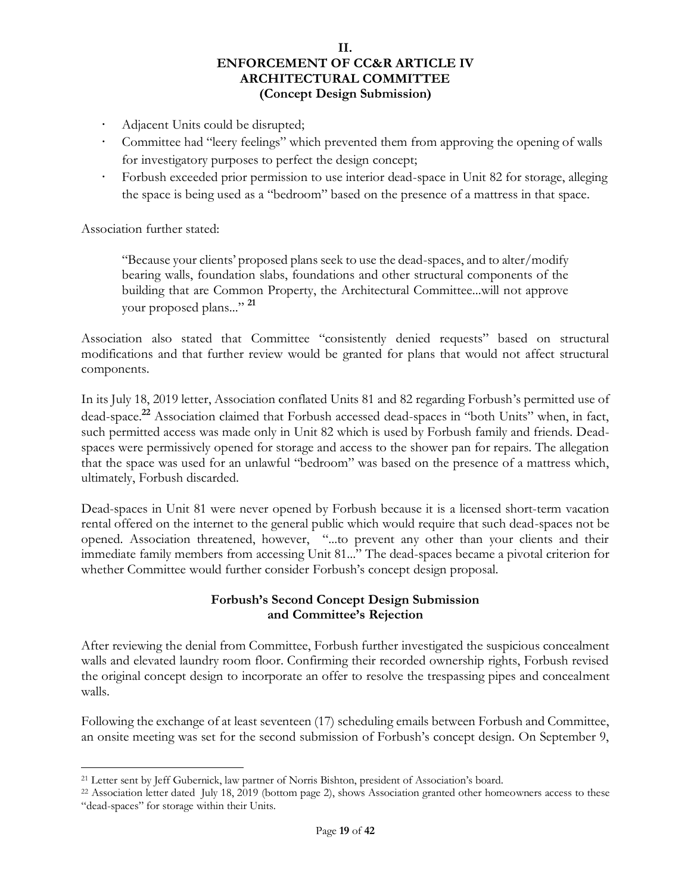- Adjacent Units could be disrupted;
- Committee had "leery feelings" which prevented them from approving the opening of walls for investigatory purposes to perfect the design concept;
- Forbush exceeded prior permission to use interior dead-space in Unit 82 for storage, alleging the space is being used as a "bedroom" based on the presence of a mattress in that space.

Association further stated:

"Because your clients' proposed plans seek to use the dead-spaces, and to alter/modify bearing walls, foundation slabs, foundations and other structural components of the building that are Common Property, the Architectural Committee...will not approve your proposed plans..." **<sup>21</sup>**

Association also stated that Committee "consistently denied requests" based on structural modifications and that further review would be granted for plans that would not affect structural components.

In its July 18, 2019 letter, Association conflated Units 81 and 82 regarding Forbush's permitted use of dead-space.**<sup>22</sup>** Association claimed that Forbush accessed dead-spaces in "both Units" when, in fact, such permitted access was made only in Unit 82 which is used by Forbush family and friends. Deadspaces were permissively opened for storage and access to the shower pan for repairs. The allegation that the space was used for an unlawful "bedroom" was based on the presence of a mattress which, ultimately, Forbush discarded.

Dead-spaces in Unit 81 were never opened by Forbush because it is a licensed short-term vacation rental offered on the internet to the general public which would require that such dead-spaces not be opened. Association threatened, however, "...to prevent any other than your clients and their immediate family members from accessing Unit 81..." The dead-spaces became a pivotal criterion for whether Committee would further consider Forbush's concept design proposal.

### **Forbush's Second Concept Design Submission and Committee's Rejection**

After reviewing the denial from Committee, Forbush further investigated the suspicious concealment walls and elevated laundry room floor. Confirming their recorded ownership rights, Forbush revised the original concept design to incorporate an offer to resolve the trespassing pipes and concealment walls.

Following the exchange of at least seventeen (17) scheduling emails between Forbush and Committee, an onsite meeting was set for the second submission of Forbush's concept design. On September 9,

<sup>21</sup> Letter sent by Jeff Gubernick, law partner of Norris Bishton, president of Association's board.

<sup>22</sup> Association letter dated July 18, 2019 (bottom page 2), shows Association granted other homeowners access to these "dead-spaces" for storage within their Units.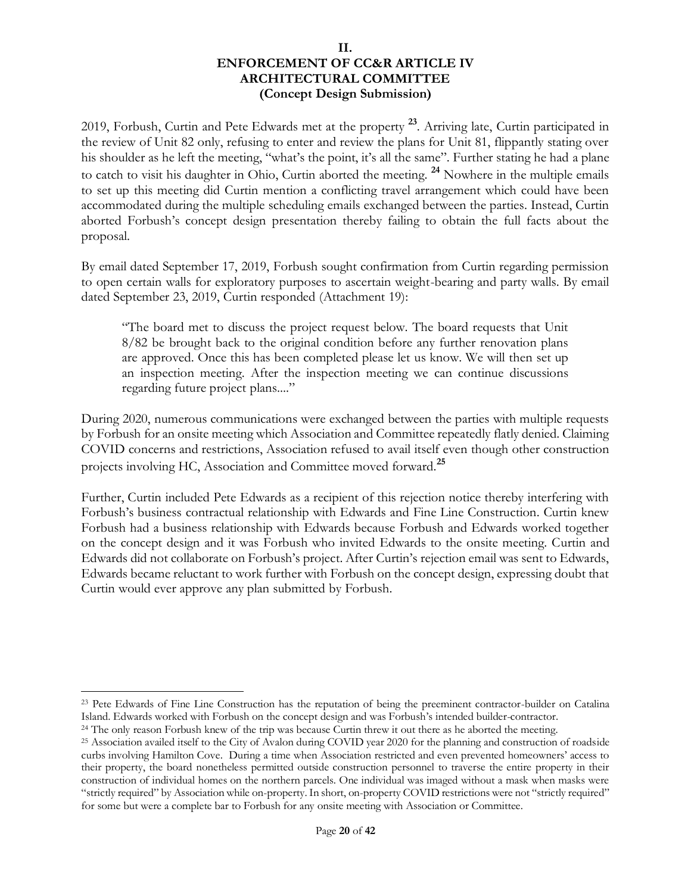2019, Forbush, Curtin and Pete Edwards met at the property **23**. Arriving late, Curtin participated in the review of Unit 82 only, refusing to enter and review the plans for Unit 81, flippantly stating over his shoulder as he left the meeting, "what's the point, it's all the same". Further stating he had a plane to catch to visit his daughter in Ohio, Curtin aborted the meeting. **<sup>24</sup>** Nowhere in the multiple emails to set up this meeting did Curtin mention a conflicting travel arrangement which could have been accommodated during the multiple scheduling emails exchanged between the parties. Instead, Curtin aborted Forbush's concept design presentation thereby failing to obtain the full facts about the proposal.

By email dated September 17, 2019, Forbush sought confirmation from Curtin regarding permission to open certain walls for exploratory purposes to ascertain weight-bearing and party walls. By email dated September 23, 2019, Curtin responded (Attachment 19):

"The board met to discuss the project request below. The board requests that Unit 8/82 be brought back to the original condition before any further renovation plans are approved. Once this has been completed please let us know. We will then set up an inspection meeting. After the inspection meeting we can continue discussions regarding future project plans...."

During 2020, numerous communications were exchanged between the parties with multiple requests by Forbush for an onsite meeting which Association and Committee repeatedly flatly denied. Claiming COVID concerns and restrictions, Association refused to avail itself even though other construction projects involving HC, Association and Committee moved forward.**<sup>25</sup>**

Further, Curtin included Pete Edwards as a recipient of this rejection notice thereby interfering with Forbush's business contractual relationship with Edwards and Fine Line Construction. Curtin knew Forbush had a business relationship with Edwards because Forbush and Edwards worked together on the concept design and it was Forbush who invited Edwards to the onsite meeting. Curtin and Edwards did not collaborate on Forbush's project. After Curtin's rejection email was sent to Edwards, Edwards became reluctant to work further with Forbush on the concept design, expressing doubt that Curtin would ever approve any plan submitted by Forbush.

<sup>23</sup> Pete Edwards of Fine Line Construction has the reputation of being the preeminent contractor-builder on Catalina Island. Edwards worked with Forbush on the concept design and was Forbush's intended builder-contractor.

<sup>&</sup>lt;sup>24</sup> The only reason Forbush knew of the trip was because Curtin threw it out there as he aborted the meeting.

<sup>25</sup> Association availed itself to the City of Avalon during COVID year 2020 for the planning and construction of roadside curbs involving Hamilton Cove. During a time when Association restricted and even prevented homeowners' access to their property, the board nonetheless permitted outside construction personnel to traverse the entire property in their construction of individual homes on the northern parcels. One individual was imaged without a mask when masks were "strictly required" by Association while on-property. In short, on-property COVID restrictions were not "strictly required" for some but were a complete bar to Forbush for any onsite meeting with Association or Committee.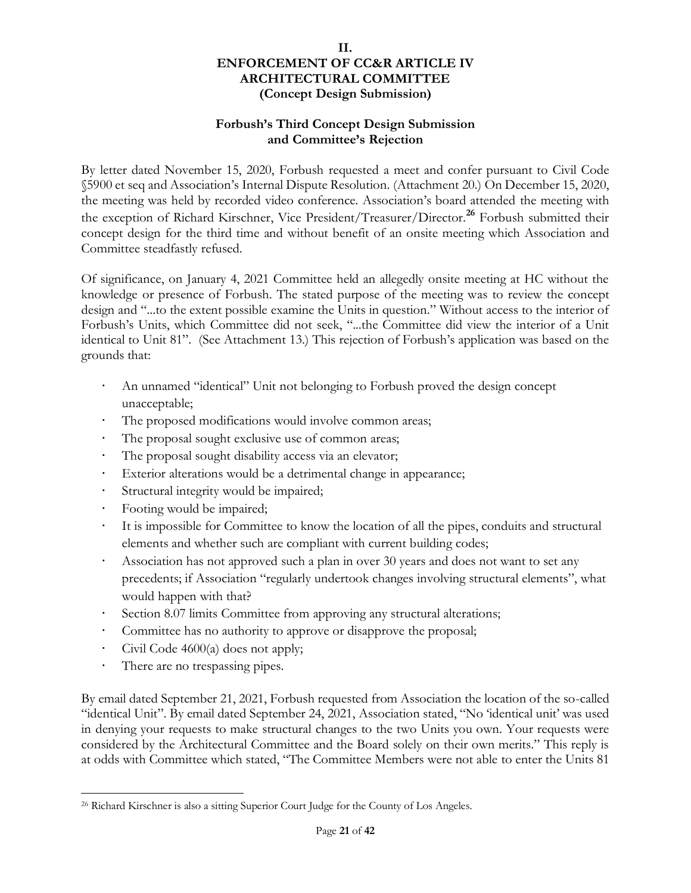# **Forbush's Third Concept Design Submission and Committee's Rejection**

By letter dated November 15, 2020, Forbush requested a meet and confer pursuant to Civil Code §5900 et seq and Association's Internal Dispute Resolution. (Attachment 20.) On December 15, 2020, the meeting was held by recorded video conference. Association's board attended the meeting with the exception of Richard Kirschner, Vice President/Treasurer/Director.**<sup>26</sup>** Forbush submitted their concept design for the third time and without benefit of an onsite meeting which Association and Committee steadfastly refused.

Of significance, on January 4, 2021 Committee held an allegedly onsite meeting at HC without the knowledge or presence of Forbush. The stated purpose of the meeting was to review the concept design and "...to the extent possible examine the Units in question." Without access to the interior of Forbush's Units, which Committee did not seek, "...the Committee did view the interior of a Unit identical to Unit 81". (See Attachment 13.) This rejection of Forbush's application was based on the grounds that:

- An unnamed "identical" Unit not belonging to Forbush proved the design concept unacceptable;
- The proposed modifications would involve common areas;
- The proposal sought exclusive use of common areas;
- The proposal sought disability access via an elevator;
- Exterior alterations would be a detrimental change in appearance;
- Structural integrity would be impaired;
- Footing would be impaired;
- It is impossible for Committee to know the location of all the pipes, conduits and structural elements and whether such are compliant with current building codes;
- Association has not approved such a plan in over 30 years and does not want to set any precedents; if Association "regularly undertook changes involving structural elements", what would happen with that?
- Section 8.07 limits Committee from approving any structural alterations;
- Committee has no authority to approve or disapprove the proposal;
- Civil Code 4600(a) does not apply;
- There are no trespassing pipes.

By email dated September 21, 2021, Forbush requested from Association the location of the so-called "identical Unit". By email dated September 24, 2021, Association stated, "No 'identical unit' was used in denying your requests to make structural changes to the two Units you own. Your requests were considered by the Architectural Committee and the Board solely on their own merits." This reply is at odds with Committee which stated, "The Committee Members were not able to enter the Units 81

<sup>26</sup> Richard Kirschner is also a sitting Superior Court Judge for the County of Los Angeles.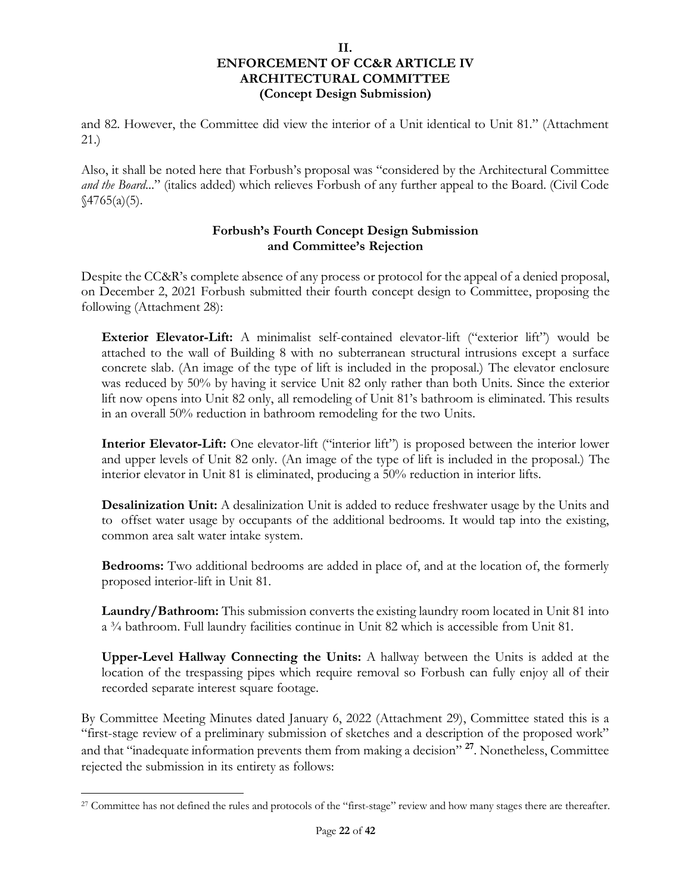and 82. However, the Committee did view the interior of a Unit identical to Unit 81." (Attachment 21.)

Also, it shall be noted here that Forbush's proposal was "considered by the Architectural Committee *and the Board*..." (italics added) which relieves Forbush of any further appeal to the Board. (Civil Code  $\sqrt{4765(a)(5)}$ .

# **Forbush's Fourth Concept Design Submission and Committee's Rejection**

Despite the CC&R's complete absence of any process or protocol for the appeal of a denied proposal, on December 2, 2021 Forbush submitted their fourth concept design to Committee, proposing the following (Attachment 28):

**Exterior Elevator-Lift:** A minimalist self-contained elevator-lift ("exterior lift") would be attached to the wall of Building 8 with no subterranean structural intrusions except a surface concrete slab. (An image of the type of lift is included in the proposal.) The elevator enclosure was reduced by 50% by having it service Unit 82 only rather than both Units. Since the exterior lift now opens into Unit 82 only, all remodeling of Unit 81's bathroom is eliminated. This results in an overall 50% reduction in bathroom remodeling for the two Units.

**Interior Elevator-Lift:** One elevator-lift ("interior lift") is proposed between the interior lower and upper levels of Unit 82 only. (An image of the type of lift is included in the proposal.) The interior elevator in Unit 81 is eliminated, producing a 50% reduction in interior lifts.

**Desalinization Unit:** A desalinization Unit is added to reduce freshwater usage by the Units and to offset water usage by occupants of the additional bedrooms. It would tap into the existing, common area salt water intake system.

**Bedrooms:** Two additional bedrooms are added in place of, and at the location of, the formerly proposed interior-lift in Unit 81.

**Laundry/Bathroom:** This submission converts the existing laundry room located in Unit 81 into a ¾ bathroom. Full laundry facilities continue in Unit 82 which is accessible from Unit 81.

**Upper-Level Hallway Connecting the Units:** A hallway between the Units is added at the location of the trespassing pipes which require removal so Forbush can fully enjoy all of their recorded separate interest square footage.

By Committee Meeting Minutes dated January 6, 2022 (Attachment 29), Committee stated this is a "first-stage review of a preliminary submission of sketches and a description of the proposed work" and that "inadequate information prevents them from making a decision" **<sup>27</sup>**. Nonetheless, Committee rejected the submission in its entirety as follows:

<sup>&</sup>lt;sup>27</sup> Committee has not defined the rules and protocols of the "first-stage" review and how many stages there are thereafter.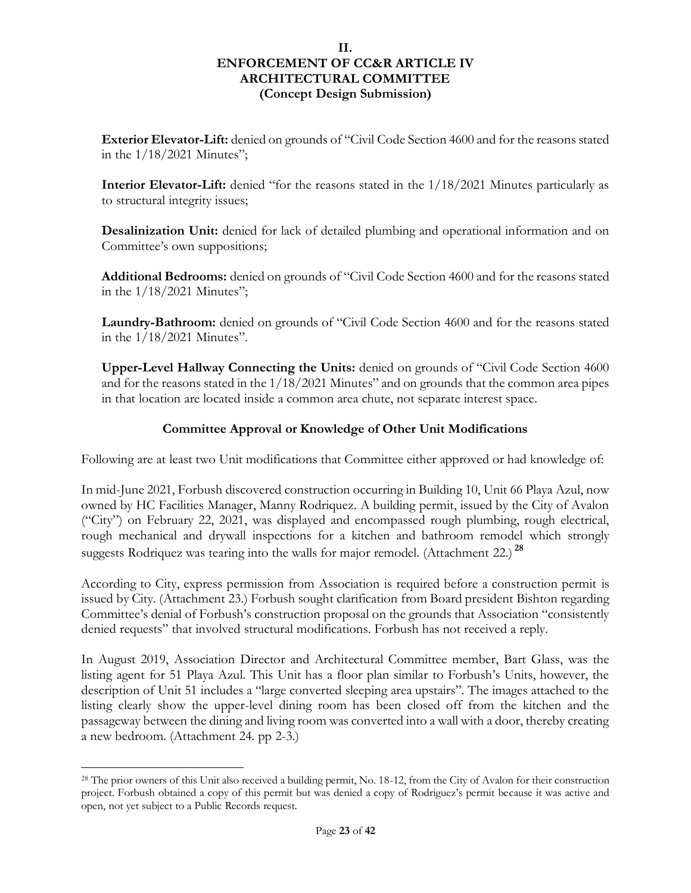**Exterior Elevator-Lift:** denied on grounds of "Civil Code Section 4600 and for the reasons stated in the 1/18/2021 Minutes";

**Interior Elevator-Lift:** denied "for the reasons stated in the 1/18/2021 Minutes particularly as to structural integrity issues;

**Desalinization Unit:** denied for lack of detailed plumbing and operational information and on Committee's own suppositions;

**Additional Bedrooms:** denied on grounds of "Civil Code Section 4600 and for the reasons stated in the 1/18/2021 Minutes";

Laundry-Bathroom: denied on grounds of "Civil Code Section 4600 and for the reasons stated in the 1/18/2021 Minutes".

**Upper-Level Hallway Connecting the Units:** denied on grounds of "Civil Code Section 4600 and for the reasons stated in the 1/18/2021 Minutes" and on grounds that the common area pipes in that location are located inside a common area chute, not separate interest space.

# **Committee Approval or Knowledge of Other Unit Modifications**

Following are at least two Unit modifications that Committee either approved or had knowledge of:

In mid-June 2021, Forbush discovered construction occurring in Building 10, Unit 66 Playa Azul, now owned by HC Facilities Manager, Manny Rodriquez. A building permit, issued by the City of Avalon ("City") on February 22, 2021, was displayed and encompassed rough plumbing, rough electrical, rough mechanical and drywall inspections for a kitchen and bathroom remodel which strongly suggests Rodriquez was tearing into the walls for major remodel. (Attachment 22.) **<sup>28</sup>**

According to City, express permission from Association is required before a construction permit is issued by City. (Attachment 23.) Forbush sought clarification from Board president Bishton regarding Committee's denial of Forbush's construction proposal on the grounds that Association "consistently denied requests" that involved structural modifications. Forbush has not received a reply.

In August 2019, Association Director and Architectural Committee member, Bart Glass, was the listing agent for 51 Playa Azul. This Unit has a floor plan similar to Forbush's Units, however, the description of Unit 51 includes a "large converted sleeping area upstairs". The images attached to the listing clearly show the upper-level dining room has been closed off from the kitchen and the passageway between the dining and living room was converted into a wall with a door, thereby creating a new bedroom. (Attachment 24. pp 2-3.)

<sup>28</sup> The prior owners of this Unit also received a building permit, No. 18-12, from the City of Avalon for their construction project. Forbush obtained a copy of this permit but was denied a copy of Rodriguez's permit because it was active and open, not yet subject to a Public Records request.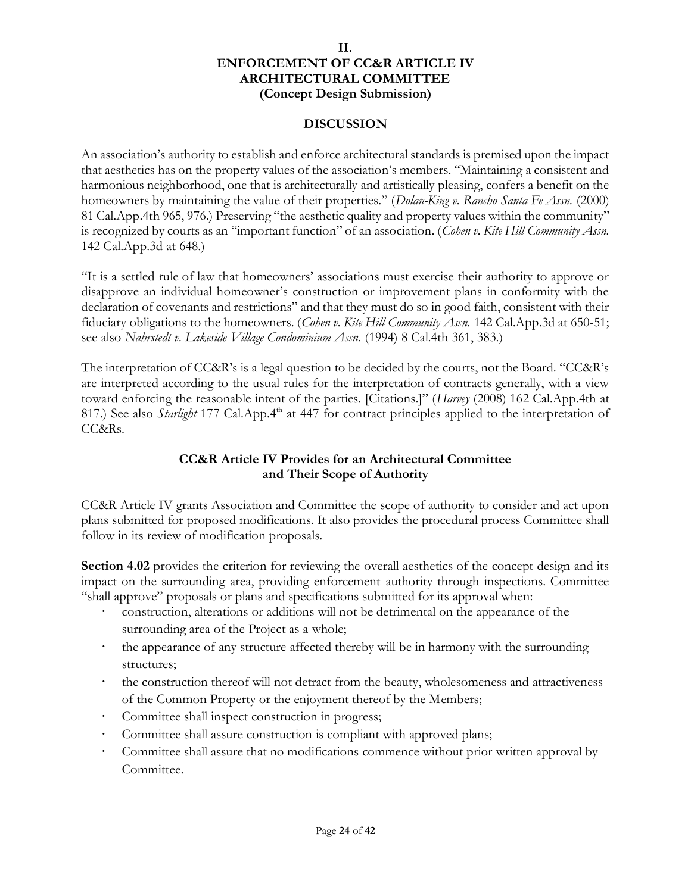### **DISCUSSION**

An association's authority to establish and enforce architectural standards is premised upon the impact that aesthetics has on the property values of the association's members. "Maintaining a consistent and harmonious neighborhood, one that is architecturally and artistically pleasing, confers a benefit on the homeowners by maintaining the value of their properties." (*Dolan-King v. Rancho Santa Fe Assn.* (2000) 81 Cal.App.4th 965, 976.) Preserving "the aesthetic quality and property values within the community" is recognized by courts as an "important function" of an association. (*Cohen v. Kite Hill Community Assn.* 142 Cal.App.3d at 648.)

"It is a settled rule of law that homeowners' associations must exercise their authority to approve or disapprove an individual homeowner's construction or improvement plans in conformity with the declaration of covenants and restrictions" and that they must do so in good faith, consistent with their fiduciary obligations to the homeowners. (*Cohen v. Kite Hill Community Assn.* 142 Cal.App.3d at 650-51; see also *Nahrstedt v. Lakeside Village Condominium Assn.* (1994) 8 Cal.4th 361, 383.)

The interpretation of CC&R's is a legal question to be decided by the courts, not the Board. "CC&R's are interpreted according to the usual rules for the interpretation of contracts generally, with a view toward enforcing the reasonable intent of the parties. [Citations.]" (*Harvey* (2008) 162 Cal.App.4th at 817.) See also *Starlight* 177 Cal.App.4<sup>th</sup> at 447 for contract principles applied to the interpretation of CC&Rs.

# **CC&R Article IV Provides for an Architectural Committee and Their Scope of Authority**

CC&R Article IV grants Association and Committee the scope of authority to consider and act upon plans submitted for proposed modifications. It also provides the procedural process Committee shall follow in its review of modification proposals.

**Section 4.02** provides the criterion for reviewing the overall aesthetics of the concept design and its impact on the surrounding area, providing enforcement authority through inspections. Committee "shall approve" proposals or plans and specifications submitted for its approval when:

- construction, alterations or additions will not be detrimental on the appearance of the surrounding area of the Project as a whole;
- the appearance of any structure affected thereby will be in harmony with the surrounding structures;
- the construction thereof will not detract from the beauty, wholesomeness and attractiveness of the Common Property or the enjoyment thereof by the Members;
- Committee shall inspect construction in progress;
- Committee shall assure construction is compliant with approved plans;
- Committee shall assure that no modifications commence without prior written approval by Committee.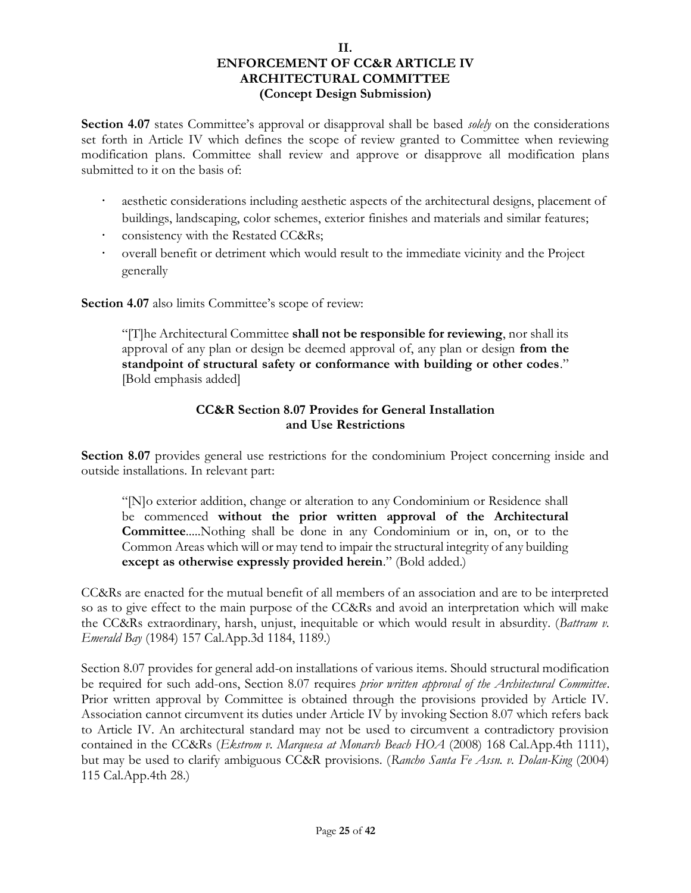**Section 4.07** states Committee's approval or disapproval shall be based *solely* on the considerations set forth in Article IV which defines the scope of review granted to Committee when reviewing modification plans. Committee shall review and approve or disapprove all modification plans submitted to it on the basis of:

- aesthetic considerations including aesthetic aspects of the architectural designs, placement of buildings, landscaping, color schemes, exterior finishes and materials and similar features;
- consistency with the Restated CC&Rs;
- overall benefit or detriment which would result to the immediate vicinity and the Project generally

**Section 4.07** also limits Committee's scope of review:

"[T]he Architectural Committee **shall not be responsible for reviewing**, nor shall its approval of any plan or design be deemed approval of, any plan or design **from the standpoint of structural safety or conformance with building or other codes**." [Bold emphasis added]

# **CC&R Section 8.07 Provides for General Installation and Use Restrictions**

**Section 8.07** provides general use restrictions for the condominium Project concerning inside and outside installations. In relevant part:

"[N]o exterior addition, change or alteration to any Condominium or Residence shall be commenced **without the prior written approval of the Architectural Committee**.....Nothing shall be done in any Condominium or in, on, or to the Common Areas which will or may tend to impair the structural integrity of any building **except as otherwise expressly provided herein**." (Bold added.)

CC&Rs are enacted for the mutual benefit of all members of an association and are to be interpreted so as to give effect to the main purpose of the CC&Rs and avoid an interpretation which will make the CC&Rs extraordinary, harsh, unjust, inequitable or which would result in absurdity. (*Battram v. Emerald Bay* (1984) 157 Cal.App.3d 1184, 1189.)

Section 8.07 provides for general add-on installations of various items. Should structural modification be required for such add-ons, Section 8.07 requires *prior written approval of the Architectural Committee*. Prior written approval by Committee is obtained through the provisions provided by Article IV. Association cannot circumvent its duties under Article IV by invoking Section 8.07 which refers back to Article IV. An architectural standard may not be used to circumvent a contradictory provision contained in the CC&Rs (*Ekstrom v. Marquesa at Monarch Beach HOA* (2008) 168 Cal.App.4th 1111), but may be used to clarify ambiguous CC&R provisions. (*Rancho Santa Fe Assn. v. Dolan-King* (2004) 115 Cal.App.4th 28.)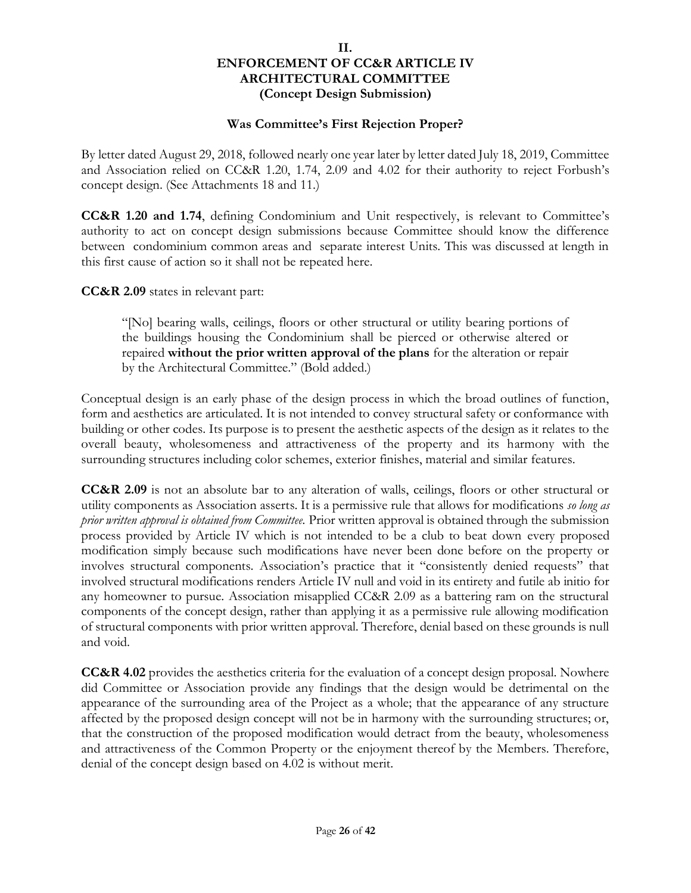### **Was Committee's First Rejection Proper?**

By letter dated August 29, 2018, followed nearly one year later by letter dated July 18, 2019, Committee and Association relied on CC&R 1.20, 1.74, 2.09 and 4.02 for their authority to reject Forbush's concept design. (See Attachments 18 and 11.)

**CC&R 1.20 and 1.74**, defining Condominium and Unit respectively, is relevant to Committee's authority to act on concept design submissions because Committee should know the difference between condominium common areas and separate interest Units. This was discussed at length in this first cause of action so it shall not be repeated here.

**CC&R 2.09** states in relevant part:

"[No] bearing walls, ceilings, floors or other structural or utility bearing portions of the buildings housing the Condominium shall be pierced or otherwise altered or repaired **without the prior written approval of the plans** for the alteration or repair by the Architectural Committee." (Bold added.)

Conceptual design is an early phase of the design process in which the broad outlines of function, form and aesthetics are articulated. It is not intended to convey structural safety or conformance with building or other codes. Its purpose is to present the aesthetic aspects of the design as it relates to the overall beauty, wholesomeness and attractiveness of the property and its harmony with the surrounding structures including color schemes, exterior finishes, material and similar features.

**CC&R 2.09** is not an absolute bar to any alteration of walls, ceilings, floors or other structural or utility components as Association asserts. It is a permissive rule that allows for modifications *so long as prior written approval is obtained from Committee.* Prior written approval is obtained through the submission process provided by Article IV which is not intended to be a club to beat down every proposed modification simply because such modifications have never been done before on the property or involves structural components. Association's practice that it "consistently denied requests" that involved structural modifications renders Article IV null and void in its entirety and futile ab initio for any homeowner to pursue. Association misapplied CC&R 2.09 as a battering ram on the structural components of the concept design, rather than applying it as a permissive rule allowing modification of structural components with prior written approval. Therefore, denial based on these grounds is null and void.

**CC&R 4.02** provides the aesthetics criteria for the evaluation of a concept design proposal. Nowhere did Committee or Association provide any findings that the design would be detrimental on the appearance of the surrounding area of the Project as a whole; that the appearance of any structure affected by the proposed design concept will not be in harmony with the surrounding structures; or, that the construction of the proposed modification would detract from the beauty, wholesomeness and attractiveness of the Common Property or the enjoyment thereof by the Members. Therefore, denial of the concept design based on 4.02 is without merit.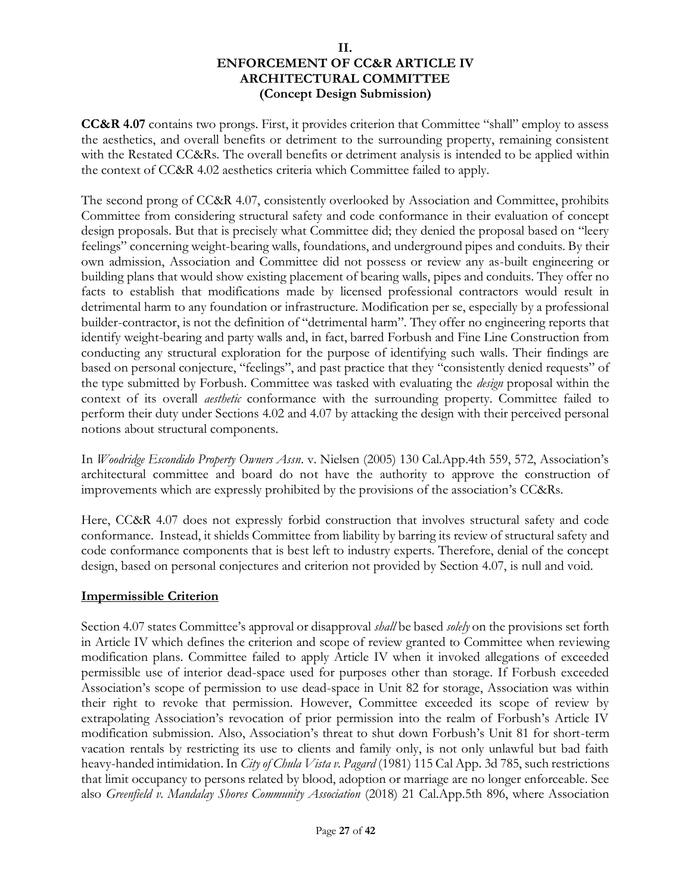**CC&R 4.07** contains two prongs. First, it provides criterion that Committee "shall" employ to assess the aesthetics, and overall benefits or detriment to the surrounding property, remaining consistent with the Restated CC&Rs. The overall benefits or detriment analysis is intended to be applied within the context of CC&R 4.02 aesthetics criteria which Committee failed to apply.

The second prong of CC&R 4.07, consistently overlooked by Association and Committee, prohibits Committee from considering structural safety and code conformance in their evaluation of concept design proposals. But that is precisely what Committee did; they denied the proposal based on "leery feelings" concerning weight-bearing walls, foundations, and underground pipes and conduits. By their own admission, Association and Committee did not possess or review any as-built engineering or building plans that would show existing placement of bearing walls, pipes and conduits. They offer no facts to establish that modifications made by licensed professional contractors would result in detrimental harm to any foundation or infrastructure. Modification per se, especially by a professional builder-contractor, is not the definition of "detrimental harm". They offer no engineering reports that identify weight-bearing and party walls and, in fact, barred Forbush and Fine Line Construction from conducting any structural exploration for the purpose of identifying such walls. Their findings are based on personal conjecture, "feelings", and past practice that they "consistently denied requests" of the type submitted by Forbush. Committee was tasked with evaluating the *design* proposal within the context of its overall *aesthetic* conformance with the surrounding property. Committee failed to perform their duty under Sections 4.02 and 4.07 by attacking the design with their perceived personal notions about structural components.

In *Woodridge Escondido Property Owners Assn*. v. Nielsen (2005) 130 Cal.App.4th 559, 572, Association's architectural committee and board do not have the authority to approve the construction of improvements which are expressly prohibited by the provisions of the association's CC&Rs.

Here, CC&R 4.07 does not expressly forbid construction that involves structural safety and code conformance. Instead, it shields Committee from liability by barring its review of structural safety and code conformance components that is best left to industry experts. Therefore, denial of the concept design, based on personal conjectures and criterion not provided by Section 4.07, is null and void.

### **Impermissible Criterion**

Section 4.07 states Committee's approval or disapproval *shall* be based *solely* on the provisions set forth in Article IV which defines the criterion and scope of review granted to Committee when reviewing modification plans. Committee failed to apply Article IV when it invoked allegations of exceeded permissible use of interior dead-space used for purposes other than storage. If Forbush exceeded Association's scope of permission to use dead-space in Unit 82 for storage, Association was within their right to revoke that permission. However, Committee exceeded its scope of review by extrapolating Association's revocation of prior permission into the realm of Forbush's Article IV modification submission. Also, Association's threat to shut down Forbush's Unit 81 for short-term vacation rentals by restricting its use to clients and family only, is not only unlawful but bad faith heavy-handed intimidation. In *City of Chula Vista v. Pagard* (1981) 115 Cal App. 3d 785, such restrictions that limit occupancy to persons related by blood, adoption or marriage are no longer enforceable. See also *Greenfield v. Mandalay Shores Community Association* (2018) 21 Cal.App.5th 896, where Association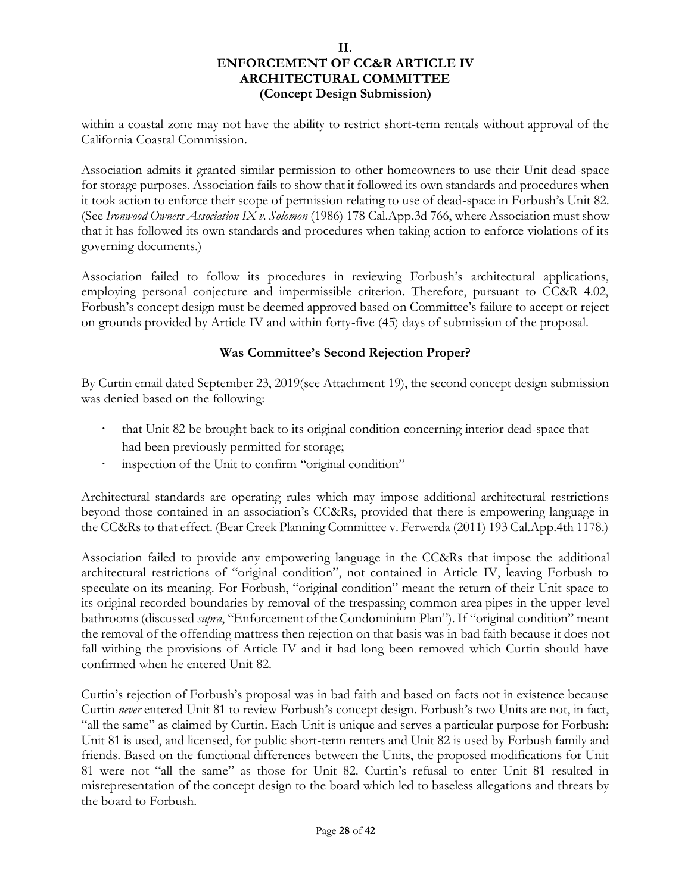within a coastal zone may not have the ability to restrict short-term rentals without approval of the California Coastal Commission.

Association admits it granted similar permission to other homeowners to use their Unit dead-space for storage purposes. Association fails to show that it followed its own standards and procedures when it took action to enforce their scope of permission relating to use of dead-space in Forbush's Unit 82. (See *Ironwood Owners Association IX v. Solomon* (1986) 178 Cal.App.3d 766, where Association must show that it has followed its own standards and procedures when taking action to enforce violations of its governing documents.)

Association failed to follow its procedures in reviewing Forbush's architectural applications, employing personal conjecture and impermissible criterion. Therefore, pursuant to CC&R 4.02, Forbush's concept design must be deemed approved based on Committee's failure to accept or reject on grounds provided by Article IV and within forty-five (45) days of submission of the proposal.

# **Was Committee's Second Rejection Proper?**

By Curtin email dated September 23, 2019(see Attachment 19), the second concept design submission was denied based on the following:

- that Unit 82 be brought back to its original condition concerning interior dead-space that had been previously permitted for storage;
- inspection of the Unit to confirm "original condition"

Architectural standards are operating rules which may impose additional architectural restrictions beyond those contained in an association's CC&Rs, provided that there is empowering language in the CC&Rs to that effect. (Bear Creek Planning Committee v. Ferwerda (2011) 193 Cal.App.4th 1178.)

Association failed to provide any empowering language in the CC&Rs that impose the additional architectural restrictions of "original condition", not contained in Article IV, leaving Forbush to speculate on its meaning. For Forbush, "original condition" meant the return of their Unit space to its original recorded boundaries by removal of the trespassing common area pipes in the upper-level bathrooms (discussed *supra*, "Enforcement of the Condominium Plan"). If "original condition" meant the removal of the offending mattress then rejection on that basis was in bad faith because it does not fall withing the provisions of Article IV and it had long been removed which Curtin should have confirmed when he entered Unit 82.

Curtin's rejection of Forbush's proposal was in bad faith and based on facts not in existence because Curtin *never* entered Unit 81 to review Forbush's concept design. Forbush's two Units are not, in fact, "all the same" as claimed by Curtin. Each Unit is unique and serves a particular purpose for Forbush: Unit 81 is used, and licensed, for public short-term renters and Unit 82 is used by Forbush family and friends. Based on the functional differences between the Units, the proposed modifications for Unit 81 were not "all the same" as those for Unit 82. Curtin's refusal to enter Unit 81 resulted in misrepresentation of the concept design to the board which led to baseless allegations and threats by the board to Forbush.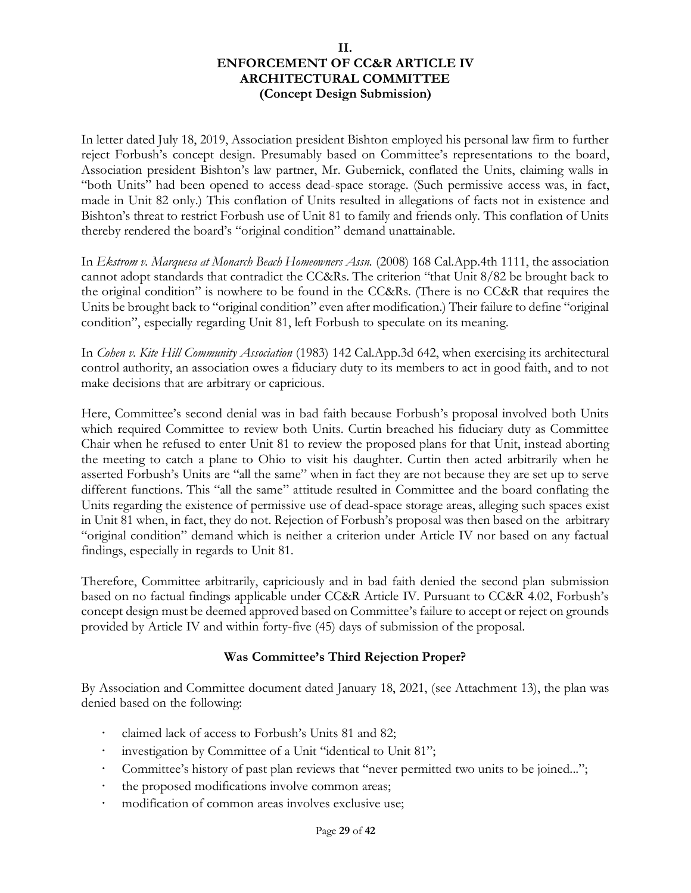In letter dated July 18, 2019, Association president Bishton employed his personal law firm to further reject Forbush's concept design. Presumably based on Committee's representations to the board, Association president Bishton's law partner, Mr. Gubernick, conflated the Units, claiming walls in "both Units" had been opened to access dead-space storage. (Such permissive access was, in fact, made in Unit 82 only.) This conflation of Units resulted in allegations of facts not in existence and Bishton's threat to restrict Forbush use of Unit 81 to family and friends only. This conflation of Units thereby rendered the board's "original condition" demand unattainable.

In *Ekstrom v. Marquesa at Monarch Beach Homeowners Assn.* (2008) 168 Cal.App.4th 1111, the association cannot adopt standards that contradict the CC&Rs. The criterion "that Unit 8/82 be brought back to the original condition" is nowhere to be found in the CC&Rs. (There is no CC&R that requires the Units be brought back to "original condition" even after modification.) Their failure to define "original condition", especially regarding Unit 81, left Forbush to speculate on its meaning.

In *Cohen v. Kite Hill Community Association* (1983) 142 Cal.App.3d 642, when exercising its architectural control authority, an association owes a fiduciary duty to its members to act in good faith, and to not make decisions that are arbitrary or capricious.

Here, Committee's second denial was in bad faith because Forbush's proposal involved both Units which required Committee to review both Units. Curtin breached his fiduciary duty as Committee Chair when he refused to enter Unit 81 to review the proposed plans for that Unit, instead aborting the meeting to catch a plane to Ohio to visit his daughter. Curtin then acted arbitrarily when he asserted Forbush's Units are "all the same" when in fact they are not because they are set up to serve different functions. This "all the same" attitude resulted in Committee and the board conflating the Units regarding the existence of permissive use of dead-space storage areas, alleging such spaces exist in Unit 81 when, in fact, they do not. Rejection of Forbush's proposal was then based on the arbitrary "original condition" demand which is neither a criterion under Article IV nor based on any factual findings, especially in regards to Unit 81.

Therefore, Committee arbitrarily, capriciously and in bad faith denied the second plan submission based on no factual findings applicable under CC&R Article IV. Pursuant to CC&R 4.02, Forbush's concept design must be deemed approved based on Committee's failure to accept or reject on grounds provided by Article IV and within forty-five (45) days of submission of the proposal.

# **Was Committee's Third Rejection Proper?**

By Association and Committee document dated January 18, 2021, (see Attachment 13), the plan was denied based on the following:

- claimed lack of access to Forbush's Units 81 and 82;
- investigation by Committee of a Unit "identical to Unit 81";
- Committee's history of past plan reviews that "never permitted two units to be joined...";
- the proposed modifications involve common areas;
- modification of common areas involves exclusive use;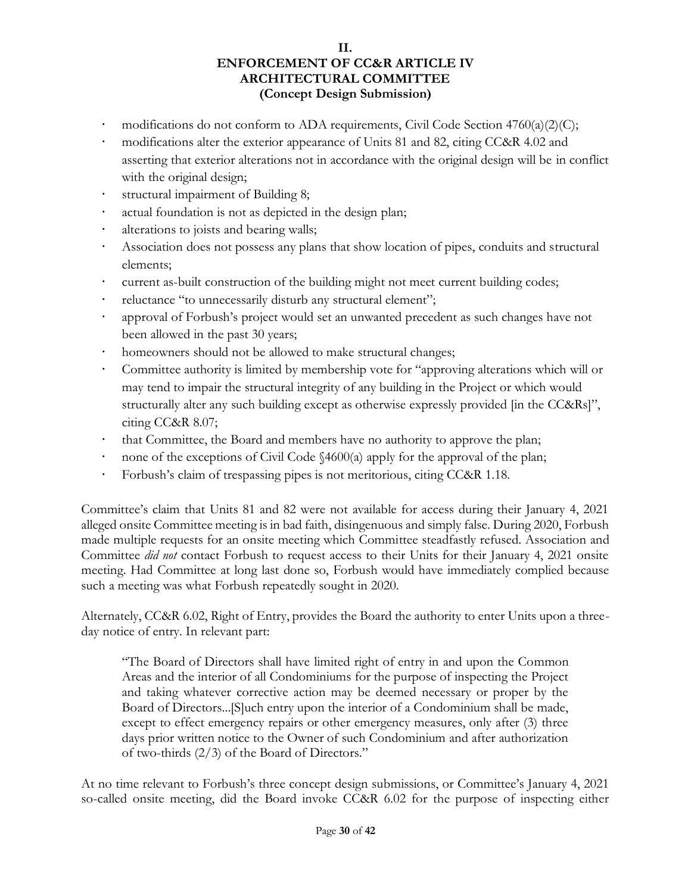- modifications do not conform to ADA requirements, Civil Code Section 4760(a)(2)(C);
- modifications alter the exterior appearance of Units 81 and 82, citing CC&R 4.02 and asserting that exterior alterations not in accordance with the original design will be in conflict with the original design;
- structural impairment of Building 8;
- actual foundation is not as depicted in the design plan;
- alterations to joists and bearing walls;
- Association does not possess any plans that show location of pipes, conduits and structural elements;
- current as-built construction of the building might not meet current building codes;
- reluctance "to unnecessarily disturb any structural element";
- approval of Forbush's project would set an unwanted precedent as such changes have not been allowed in the past 30 years;
- homeowners should not be allowed to make structural changes;
- Committee authority is limited by membership vote for "approving alterations which will or may tend to impair the structural integrity of any building in the Project or which would structurally alter any such building except as otherwise expressly provided [in the CC&Rs]", citing CC&R 8.07;
- that Committee, the Board and members have no authority to approve the plan;
- none of the exceptions of Civil Code §4600(a) apply for the approval of the plan;
- Forbush's claim of trespassing pipes is not meritorious, citing CC&R 1.18.

Committee's claim that Units 81 and 82 were not available for access during their January 4, 2021 alleged onsite Committee meeting is in bad faith, disingenuous and simply false. During 2020, Forbush made multiple requests for an onsite meeting which Committee steadfastly refused. Association and Committee *did not* contact Forbush to request access to their Units for their January 4, 2021 onsite meeting. Had Committee at long last done so, Forbush would have immediately complied because such a meeting was what Forbush repeatedly sought in 2020.

Alternately, CC&R 6.02, Right of Entry, provides the Board the authority to enter Units upon a threeday notice of entry. In relevant part:

"The Board of Directors shall have limited right of entry in and upon the Common Areas and the interior of all Condominiums for the purpose of inspecting the Project and taking whatever corrective action may be deemed necessary or proper by the Board of Directors...[S]uch entry upon the interior of a Condominium shall be made, except to effect emergency repairs or other emergency measures, only after (3) three days prior written notice to the Owner of such Condominium and after authorization of two-thirds (2/3) of the Board of Directors."

At no time relevant to Forbush's three concept design submissions, or Committee's January 4, 2021 so-called onsite meeting, did the Board invoke CC&R 6.02 for the purpose of inspecting either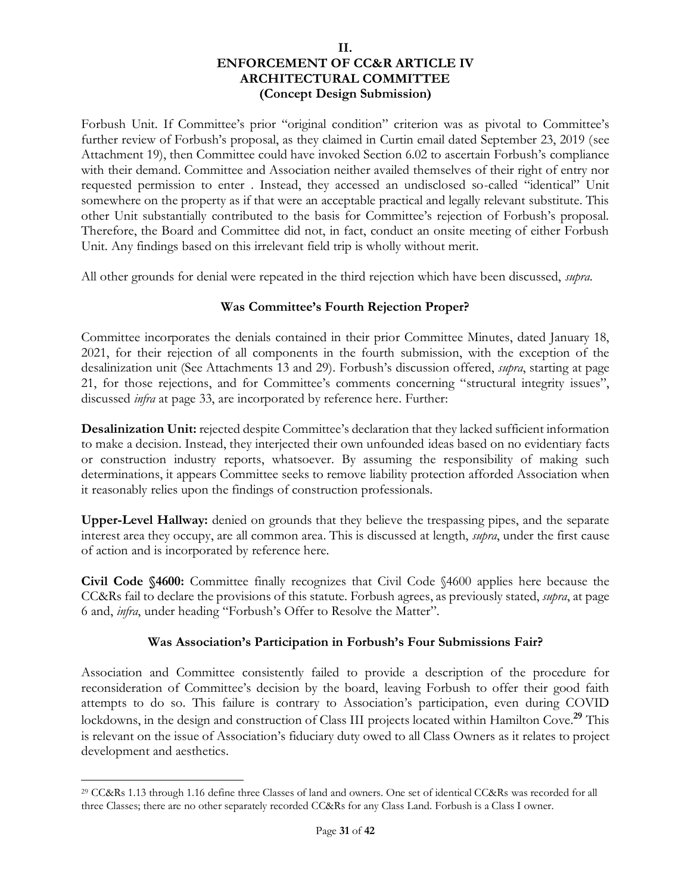Forbush Unit. If Committee's prior "original condition" criterion was as pivotal to Committee's further review of Forbush's proposal, as they claimed in Curtin email dated September 23, 2019 (see Attachment 19), then Committee could have invoked Section 6.02 to ascertain Forbush's compliance with their demand. Committee and Association neither availed themselves of their right of entry nor requested permission to enter . Instead, they accessed an undisclosed so-called "identical" Unit somewhere on the property as if that were an acceptable practical and legally relevant substitute. This other Unit substantially contributed to the basis for Committee's rejection of Forbush's proposal. Therefore, the Board and Committee did not, in fact, conduct an onsite meeting of either Forbush Unit. Any findings based on this irrelevant field trip is wholly without merit.

All other grounds for denial were repeated in the third rejection which have been discussed, *supra*.

# **Was Committee's Fourth Rejection Proper?**

Committee incorporates the denials contained in their prior Committee Minutes, dated January 18, 2021, for their rejection of all components in the fourth submission, with the exception of the desalinization unit (See Attachments 13 and 29). Forbush's discussion offered, *supra*, starting at page 21, for those rejections, and for Committee's comments concerning "structural integrity issues", discussed *infra* at page 33, are incorporated by reference here. Further:

**Desalinization Unit:** rejected despite Committee's declaration that they lacked sufficient information to make a decision. Instead, they interjected their own unfounded ideas based on no evidentiary facts or construction industry reports, whatsoever. By assuming the responsibility of making such determinations, it appears Committee seeks to remove liability protection afforded Association when it reasonably relies upon the findings of construction professionals.

**Upper-Level Hallway:** denied on grounds that they believe the trespassing pipes, and the separate interest area they occupy, are all common area. This is discussed at length, *supra*, under the first cause of action and is incorporated by reference here.

**Civil Code §4600:** Committee finally recognizes that Civil Code §4600 applies here because the CC&Rs fail to declare the provisions of this statute. Forbush agrees, as previously stated, *supra*, at page 6 and, *infra*, under heading "Forbush's Offer to Resolve the Matter".

# **Was Association's Participation in Forbush's Four Submissions Fair?**

Association and Committee consistently failed to provide a description of the procedure for reconsideration of Committee's decision by the board, leaving Forbush to offer their good faith attempts to do so. This failure is contrary to Association's participation, even during COVID lockdowns, in the design and construction of Class III projects located within Hamilton Cove. **<sup>29</sup>** This is relevant on the issue of Association's fiduciary duty owed to all Class Owners as it relates to project development and aesthetics.

<sup>29</sup> CC&Rs 1.13 through 1.16 define three Classes of land and owners. One set of identical CC&Rs was recorded for all three Classes; there are no other separately recorded CC&Rs for any Class Land. Forbush is a Class I owner.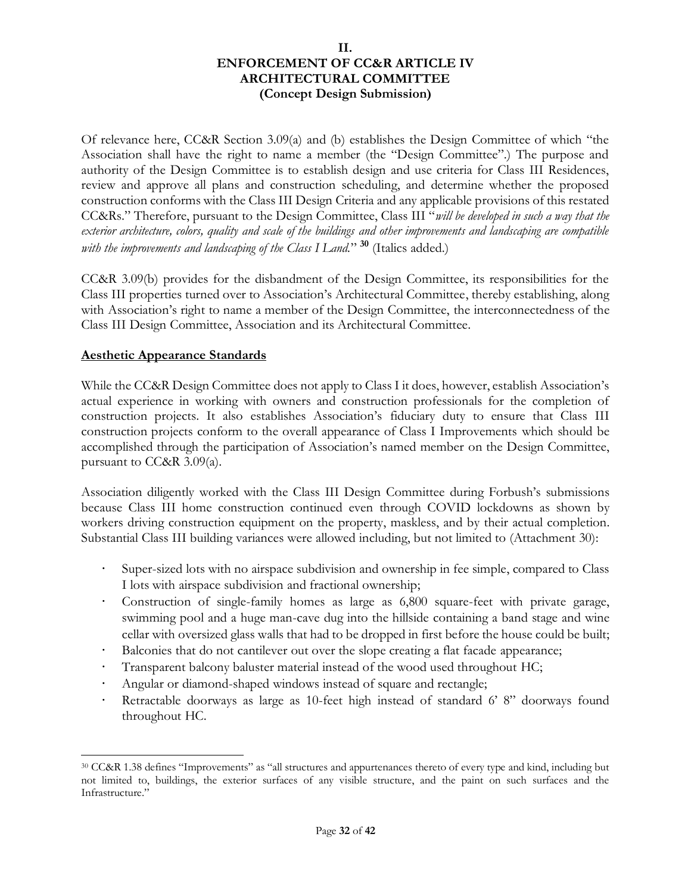Of relevance here, CC&R Section 3.09(a) and (b) establishes the Design Committee of which "the Association shall have the right to name a member (the "Design Committee".) The purpose and authority of the Design Committee is to establish design and use criteria for Class III Residences, review and approve all plans and construction scheduling, and determine whether the proposed construction conforms with the Class III Design Criteria and any applicable provisions of this restated CC&Rs." Therefore, pursuant to the Design Committee, Class III "*will be developed in such a way that the exterior architecture, colors, quality and scale of the buildings and other improvements and landscaping are compatible with the improvements and landscaping of the Class I Land.*" **<sup>30</sup>** (Italics added.)

CC&R 3.09(b) provides for the disbandment of the Design Committee, its responsibilities for the Class III properties turned over to Association's Architectural Committee, thereby establishing, along with Association's right to name a member of the Design Committee, the interconnectedness of the Class III Design Committee, Association and its Architectural Committee.

# **Aesthetic Appearance Standards**

While the CC&R Design Committee does not apply to Class I it does, however, establish Association's actual experience in working with owners and construction professionals for the completion of construction projects. It also establishes Association's fiduciary duty to ensure that Class III construction projects conform to the overall appearance of Class I Improvements which should be accomplished through the participation of Association's named member on the Design Committee, pursuant to CC&R 3.09(a).

Association diligently worked with the Class III Design Committee during Forbush's submissions because Class III home construction continued even through COVID lockdowns as shown by workers driving construction equipment on the property, maskless, and by their actual completion. Substantial Class III building variances were allowed including, but not limited to (Attachment 30):

- Super-sized lots with no airspace subdivision and ownership in fee simple, compared to Class I lots with airspace subdivision and fractional ownership;
- Construction of single-family homes as large as 6,800 square-feet with private garage, swimming pool and a huge man-cave dug into the hillside containing a band stage and wine cellar with oversized glass walls that had to be dropped in first before the house could be built;
- Balconies that do not cantilever out over the slope creating a flat facade appearance;
- Transparent balcony baluster material instead of the wood used throughout HC;
- Angular or diamond-shaped windows instead of square and rectangle;
- Retractable doorways as large as 10-feet high instead of standard 6' 8" doorways found throughout HC.

<sup>30</sup> CC&R 1.38 defines "Improvements" as "all structures and appurtenances thereto of every type and kind, including but not limited to, buildings, the exterior surfaces of any visible structure, and the paint on such surfaces and the Infrastructure."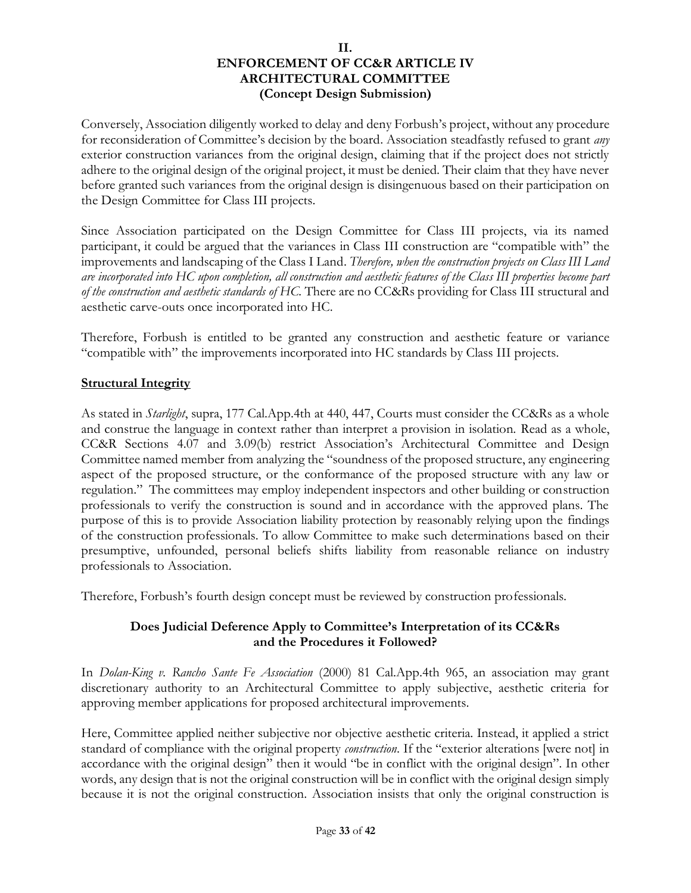Conversely, Association diligently worked to delay and deny Forbush's project, without any procedure for reconsideration of Committee's decision by the board. Association steadfastly refused to grant *any* exterior construction variances from the original design, claiming that if the project does not strictly adhere to the original design of the original project, it must be denied. Their claim that they have never before granted such variances from the original design is disingenuous based on their participation on the Design Committee for Class III projects.

Since Association participated on the Design Committee for Class III projects, via its named participant, it could be argued that the variances in Class III construction are "compatible with" the improvements and landscaping of the Class I Land. *Therefore, when the construction projects on Class III Land are incorporated into HC upon completion, all construction and aesthetic features of the Class III properties become part of the construction and aesthetic standards of HC.* There are no CC&Rs providing for Class III structural and aesthetic carve-outs once incorporated into HC.

Therefore, Forbush is entitled to be granted any construction and aesthetic feature or variance "compatible with" the improvements incorporated into HC standards by Class III projects.

# **Structural Integrity**

As stated in *Starlight*, supra, 177 Cal.App.4th at 440, 447, Courts must consider the CC&Rs as a whole and construe the language in context rather than interpret a provision in isolation. Read as a whole, CC&R Sections 4.07 and 3.09(b) restrict Association's Architectural Committee and Design Committee named member from analyzing the "soundness of the proposed structure, any engineering aspect of the proposed structure, or the conformance of the proposed structure with any law or regulation." The committees may employ independent inspectors and other building or construction professionals to verify the construction is sound and in accordance with the approved plans. The purpose of this is to provide Association liability protection by reasonably relying upon the findings of the construction professionals. To allow Committee to make such determinations based on their presumptive, unfounded, personal beliefs shifts liability from reasonable reliance on industry professionals to Association.

Therefore, Forbush's fourth design concept must be reviewed by construction professionals.

# **Does Judicial Deference Apply to Committee's Interpretation of its CC&Rs and the Procedures it Followed?**

In *Dolan-King v. Rancho Sante Fe Association* (2000) 81 Cal.App.4th 965, an association may grant discretionary authority to an Architectural Committee to apply subjective, aesthetic criteria for approving member applications for proposed architectural improvements.

Here, Committee applied neither subjective nor objective aesthetic criteria. Instead, it applied a strict standard of compliance with the original property *construction*. If the "exterior alterations [were not] in accordance with the original design" then it would "be in conflict with the original design". In other words, any design that is not the original construction will be in conflict with the original design simply because it is not the original construction. Association insists that only the original construction is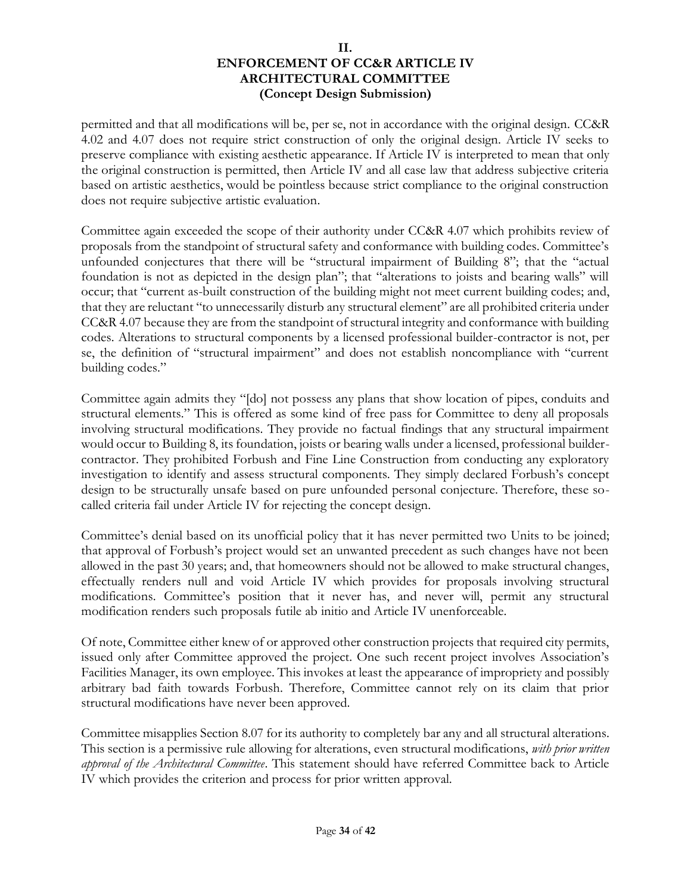permitted and that all modifications will be, per se, not in accordance with the original design. CC&R 4.02 and 4.07 does not require strict construction of only the original design. Article IV seeks to preserve compliance with existing aesthetic appearance. If Article IV is interpreted to mean that only the original construction is permitted, then Article IV and all case law that address subjective criteria based on artistic aesthetics, would be pointless because strict compliance to the original construction does not require subjective artistic evaluation.

Committee again exceeded the scope of their authority under CC&R 4.07 which prohibits review of proposals from the standpoint of structural safety and conformance with building codes. Committee's unfounded conjectures that there will be "structural impairment of Building 8"; that the "actual foundation is not as depicted in the design plan"; that "alterations to joists and bearing walls" will occur; that "current as-built construction of the building might not meet current building codes; and, that they are reluctant "to unnecessarily disturb any structural element" are all prohibited criteria under CC&R 4.07 because they are from the standpoint of structural integrity and conformance with building codes. Alterations to structural components by a licensed professional builder-contractor is not, per se, the definition of "structural impairment" and does not establish noncompliance with "current building codes."

Committee again admits they "[do] not possess any plans that show location of pipes, conduits and structural elements." This is offered as some kind of free pass for Committee to deny all proposals involving structural modifications. They provide no factual findings that any structural impairment would occur to Building 8, its foundation, joists or bearing walls under a licensed, professional buildercontractor. They prohibited Forbush and Fine Line Construction from conducting any exploratory investigation to identify and assess structural components. They simply declared Forbush's concept design to be structurally unsafe based on pure unfounded personal conjecture. Therefore, these socalled criteria fail under Article IV for rejecting the concept design.

Committee's denial based on its unofficial policy that it has never permitted two Units to be joined; that approval of Forbush's project would set an unwanted precedent as such changes have not been allowed in the past 30 years; and, that homeowners should not be allowed to make structural changes, effectually renders null and void Article IV which provides for proposals involving structural modifications. Committee's position that it never has, and never will, permit any structural modification renders such proposals futile ab initio and Article IV unenforceable.

Of note, Committee either knew of or approved other construction projects that required city permits, issued only after Committee approved the project. One such recent project involves Association's Facilities Manager, its own employee. This invokes at least the appearance of impropriety and possibly arbitrary bad faith towards Forbush. Therefore, Committee cannot rely on its claim that prior structural modifications have never been approved.

Committee misapplies Section 8.07 for its authority to completely bar any and all structural alterations. This section is a permissive rule allowing for alterations, even structural modifications, *with prior written approval of the Architectural Committee*. This statement should have referred Committee back to Article IV which provides the criterion and process for prior written approval.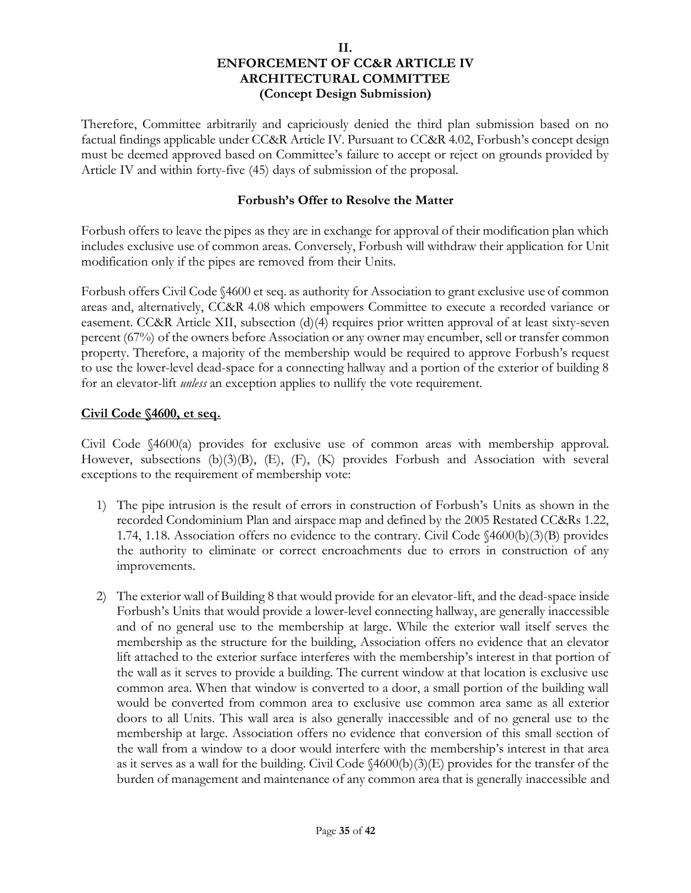Therefore, Committee arbitrarily and capriciously denied the third plan submission based on no factual findings applicable under CC&R Article IV. Pursuant to CC&R 4.02, Forbush's concept design must be deemed approved based on Committee's failure to accept or reject on grounds provided by Article IV and within forty-five (45) days of submission of the proposal.

#### **Forbush's Offer to Resolve the Matter**

Forbush offers to leave the pipes as they are in exchange for approval of their modification plan which includes exclusive use of common areas. Conversely, Forbush will withdraw their application for Unit modification only if the pipes are removed from their Units.

Forbush offers Civil Code §4600 et seq. as authority for Association to grant exclusive use of common areas and, alternatively, CC&R 4.08 which empowers Committee to execute a recorded variance or easement. CC&R Article XII, subsection (d)(4) requires prior written approval of at least sixty-seven percent (67%) of the owners before Association or any owner may encumber, sell or transfer common property. Therefore, a majority of the membership would be required to approve Forbush's request to use the lower-level dead-space for a connecting hallway and a portion of the exterior of building 8 for an elevator-lift *unless* an exception applies to nullify the vote requirement.

#### **Civil Code §4600, et seq.**

Civil Code §4600(a) provides for exclusive use of common areas with membership approval. However, subsections (b)(3)(B), (E), (F), (K) provides Forbush and Association with several exceptions to the requirement of membership vote:

- 1) The pipe intrusion is the result of errors in construction of Forbush's Units as shown in the recorded Condominium Plan and airspace map and defined by the 2005 Restated CC&Rs 1.22, 1.74, 1.18. Association offers no evidence to the contrary. Civil Code §4600(b)(3)(B) provides the authority to eliminate or correct encroachments due to errors in construction of any improvements.
- 2) The exterior wall of Building 8 that would provide for an elevator-lift, and the dead-space inside Forbush's Units that would provide a lower-level connecting hallway, are generally inaccessible and of no general use to the membership at large. While the exterior wall itself serves the membership as the structure for the building, Association offers no evidence that an elevator lift attached to the exterior surface interferes with the membership's interest in that portion of the wall as it serves to provide a building. The current window at that location is exclusive use common area. When that window is converted to a door, a small portion of the building wall would be converted from common area to exclusive use common area same as all exterior doors to all Units. This wall area is also generally inaccessible and of no general use to the membership at large. Association offers no evidence that conversion of this small section of the wall from a window to a door would interfere with the membership's interest in that area as it serves as a wall for the building. Civil Code §4600(b)(3)(E) provides for the transfer of the burden of management and maintenance of any common area that is generally inaccessible and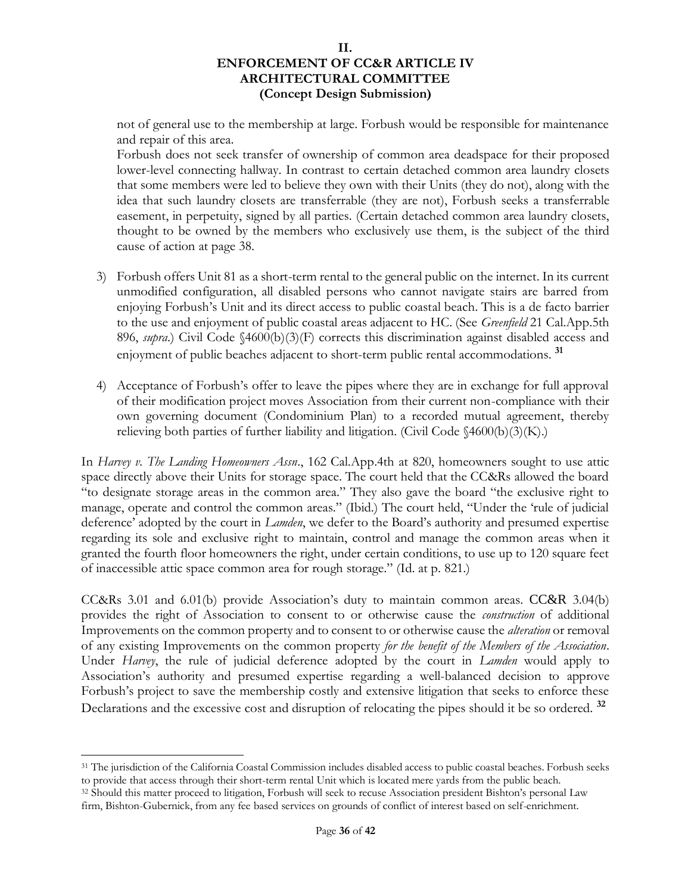not of general use to the membership at large. Forbush would be responsible for maintenance and repair of this area.

Forbush does not seek transfer of ownership of common area deadspace for their proposed lower-level connecting hallway. In contrast to certain detached common area laundry closets that some members were led to believe they own with their Units (they do not), along with the idea that such laundry closets are transferrable (they are not), Forbush seeks a transferrable easement, in perpetuity, signed by all parties. (Certain detached common area laundry closets, thought to be owned by the members who exclusively use them, is the subject of the third cause of action at page 38.

- 3) Forbush offers Unit 81 as a short-term rental to the general public on the internet. In its current unmodified configuration, all disabled persons who cannot navigate stairs are barred from enjoying Forbush's Unit and its direct access to public coastal beach. This is a de facto barrier to the use and enjoyment of public coastal areas adjacent to HC. (See *Greenfield* 21 Cal.App.5th 896, *supra*.) Civil Code §4600(b)(3)(F) corrects this discrimination against disabled access and enjoyment of public beaches adjacent to short-term public rental accommodations. **<sup>31</sup>**
- 4) Acceptance of Forbush's offer to leave the pipes where they are in exchange for full approval of their modification project moves Association from their current non-compliance with their own governing document (Condominium Plan) to a recorded mutual agreement, thereby relieving both parties of further liability and litigation. (Civil Code  $\{4600(b)(3)(K)\}$ )

In *Harvey v. The Landing Homeowners Assn*., 162 Cal.App.4th at 820, homeowners sought to use attic space directly above their Units for storage space. The court held that the CC&Rs allowed the board "to designate storage areas in the common area." They also gave the board "the exclusive right to manage, operate and control the common areas." (Ibid.) The court held, "Under the 'rule of judicial deference' adopted by the court in *Lamden*, we defer to the Board's authority and presumed expertise regarding its sole and exclusive right to maintain, control and manage the common areas when it granted the fourth floor homeowners the right, under certain conditions, to use up to 120 square feet of inaccessible attic space common area for rough storage." (Id. at p. 821.)

CC&Rs 3.01 and 6.01(b) provide Association's duty to maintain common areas. CC&R 3.04(b) provides the right of Association to consent to or otherwise cause the *construction* of additional Improvements on the common property and to consent to or otherwise cause the *alteration* or removal of any existing Improvements on the common property *for the benefit of the Members of the Association*. Under *Harvey*, the rule of judicial deference adopted by the court in *Lamden* would apply to Association's authority and presumed expertise regarding a well-balanced decision to approve Forbush's project to save the membership costly and extensive litigation that seeks to enforce these Declarations and the excessive cost and disruption of relocating the pipes should it be so ordered. **<sup>32</sup>**

<sup>31</sup> The jurisdiction of the California Coastal Commission includes disabled access to public coastal beaches. Forbush seeks to provide that access through their short-term rental Unit which is located mere yards from the public beach. <sup>32</sup> Should this matter proceed to litigation, Forbush will seek to recuse Association president Bishton's personal Law firm, Bishton-Gubernick, from any fee based services on grounds of conflict of interest based on self-enrichment.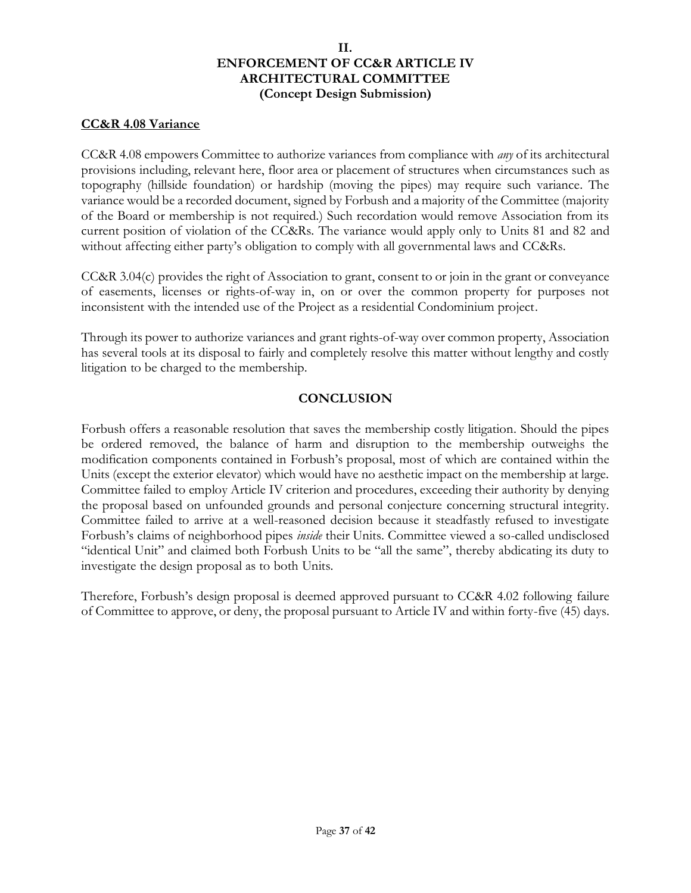### **CC&R 4.08 Variance**

CC&R 4.08 empowers Committee to authorize variances from compliance with *any* of its architectural provisions including, relevant here, floor area or placement of structures when circumstances such as topography (hillside foundation) or hardship (moving the pipes) may require such variance. The variance would be a recorded document, signed by Forbush and a majority of the Committee (majority of the Board or membership is not required.) Such recordation would remove Association from its current position of violation of the CC&Rs. The variance would apply only to Units 81 and 82 and without affecting either party's obligation to comply with all governmental laws and CC&Rs.

CC&R 3.04(c) provides the right of Association to grant, consent to or join in the grant or conveyance of easements, licenses or rights-of-way in, on or over the common property for purposes not inconsistent with the intended use of the Project as a residential Condominium project.

Through its power to authorize variances and grant rights-of-way over common property, Association has several tools at its disposal to fairly and completely resolve this matter without lengthy and costly litigation to be charged to the membership.

# **CONCLUSION**

Forbush offers a reasonable resolution that saves the membership costly litigation. Should the pipes be ordered removed, the balance of harm and disruption to the membership outweighs the modification components contained in Forbush's proposal, most of which are contained within the Units (except the exterior elevator) which would have no aesthetic impact on the membership at large. Committee failed to employ Article IV criterion and procedures, exceeding their authority by denying the proposal based on unfounded grounds and personal conjecture concerning structural integrity. Committee failed to arrive at a well-reasoned decision because it steadfastly refused to investigate Forbush's claims of neighborhood pipes *inside* their Units. Committee viewed a so-called undisclosed "identical Unit" and claimed both Forbush Units to be "all the same", thereby abdicating its duty to investigate the design proposal as to both Units.

Therefore, Forbush's design proposal is deemed approved pursuant to CC&R 4.02 following failure of Committee to approve, or deny, the proposal pursuant to Article IV and within forty-five (45) days.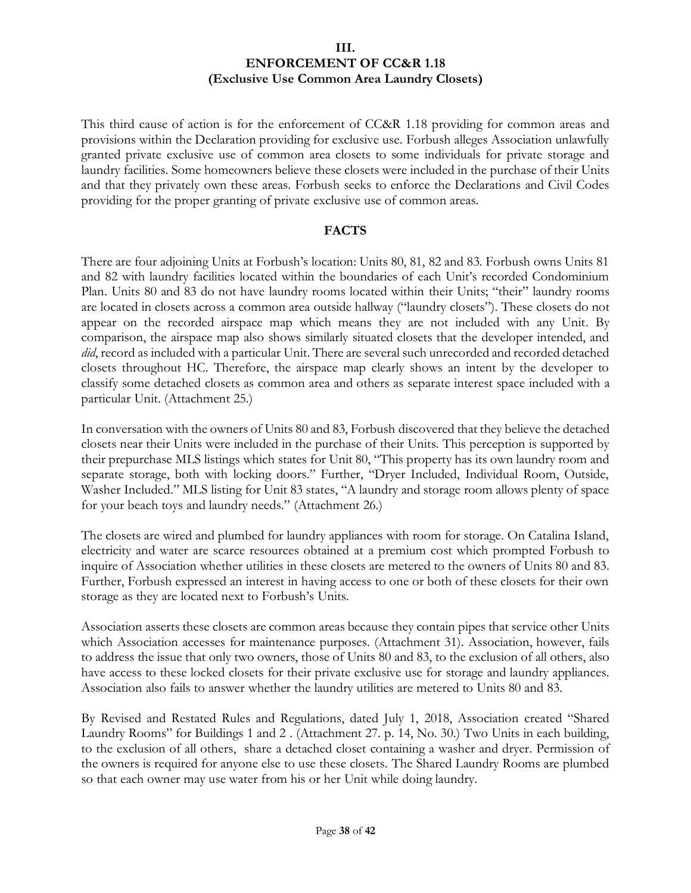This third cause of action is for the enforcement of CC&R 1.18 providing for common areas and provisions within the Declaration providing for exclusive use. Forbush alleges Association unlawfully granted private exclusive use of common area closets to some individuals for private storage and laundry facilities. Some homeowners believe these closets were included in the purchase of their Units and that they privately own these areas. Forbush seeks to enforce the Declarations and Civil Codes providing for the proper granting of private exclusive use of common areas.

# **FACTS**

There are four adjoining Units at Forbush's location: Units 80, 81, 82 and 83. Forbush owns Units 81 and 82 with laundry facilities located within the boundaries of each Unit's recorded Condominium Plan. Units 80 and 83 do not have laundry rooms located within their Units; "their" laundry rooms are located in closets across a common area outside hallway ("laundry closets"). These closets do not appear on the recorded airspace map which means they are not included with any Unit. By comparison, the airspace map also shows similarly situated closets that the developer intended, and *did*, record as included with a particular Unit. There are several such unrecorded and recorded detached closets throughout HC. Therefore, the airspace map clearly shows an intent by the developer to classify some detached closets as common area and others as separate interest space included with a particular Unit. (Attachment 25.)

In conversation with the owners of Units 80 and 83, Forbush discovered that they believe the detached closets near their Units were included in the purchase of their Units. This perception is supported by their prepurchase MLS listings which states for Unit 80, "This property has its own laundry room and separate storage, both with locking doors." Further, "Dryer Included, Individual Room, Outside, Washer Included." MLS listing for Unit 83 states, "A laundry and storage room allows plenty of space for your beach toys and laundry needs." (Attachment 26.)

The closets are wired and plumbed for laundry appliances with room for storage. On Catalina Island, electricity and water are scarce resources obtained at a premium cost which prompted Forbush to inquire of Association whether utilities in these closets are metered to the owners of Units 80 and 83. Further, Forbush expressed an interest in having access to one or both of these closets for their own storage as they are located next to Forbush's Units.

Association asserts these closets are common areas because they contain pipes that service other Units which Association accesses for maintenance purposes. (Attachment 31). Association, however, fails to address the issue that only two owners, those of Units 80 and 83, to the exclusion of all others, also have access to these locked closets for their private exclusive use for storage and laundry appliances. Association also fails to answer whether the laundry utilities are metered to Units 80 and 83.

By Revised and Restated Rules and Regulations, dated July 1, 2018, Association created "Shared Laundry Rooms" for Buildings 1 and 2 . (Attachment 27. p. 14, No. 30.) Two Units in each building, to the exclusion of all others, share a detached closet containing a washer and dryer. Permission of the owners is required for anyone else to use these closets. The Shared Laundry Rooms are plumbed so that each owner may use water from his or her Unit while doing laundry.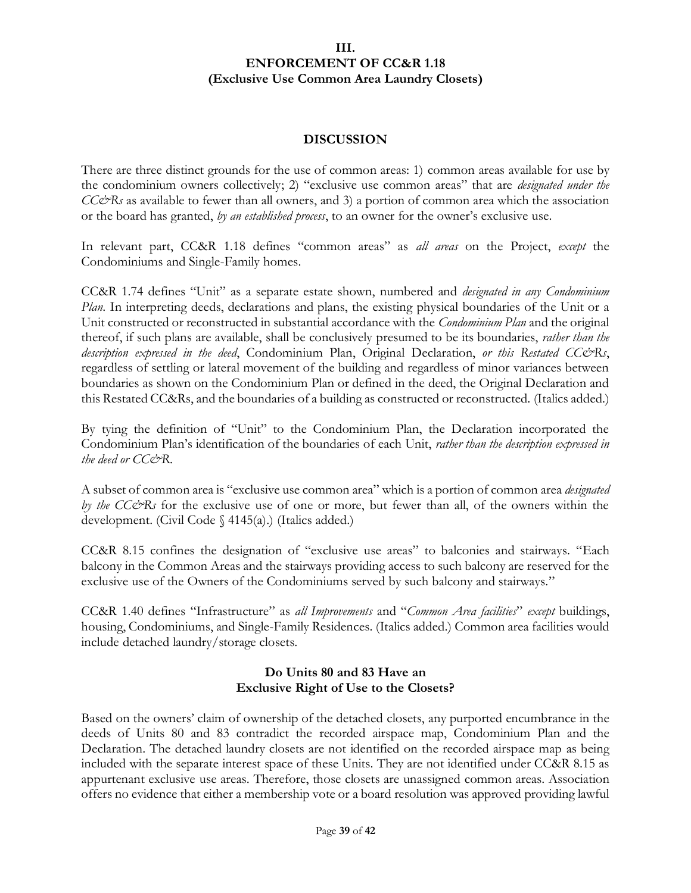### **DISCUSSION**

There are three distinct grounds for the use of common areas: 1) common areas available for use by the condominium owners collectively; 2) "exclusive use common areas" that are *designated under the CC&Rs* as available to fewer than all owners, and 3) a portion of common area which the association or the board has granted, *by an established process*, to an owner for the owner's exclusive use.

In relevant part, CC&R 1.18 defines "common areas" as *all areas* on the Project, *except* the Condominiums and Single-Family homes.

CC&R 1.74 defines "Unit" as a separate estate shown, numbered and *designated in any Condominium Plan*. In interpreting deeds, declarations and plans, the existing physical boundaries of the Unit or a Unit constructed or reconstructed in substantial accordance with the *Condominium Plan* and the original thereof, if such plans are available, shall be conclusively presumed to be its boundaries, *rather than the description expressed in the deed*, Condominium Plan, Original Declaration, *or this Restated CC&Rs*, regardless of settling or lateral movement of the building and regardless of minor variances between boundaries as shown on the Condominium Plan or defined in the deed, the Original Declaration and this Restated CC&Rs, and the boundaries of a building as constructed or reconstructed. (Italics added.)

By tying the definition of "Unit" to the Condominium Plan, the Declaration incorporated the Condominium Plan's identification of the boundaries of each Unit, *rather than the description expressed in the deed or CC&R*.

A subset of common area is "exclusive use common area" which is a portion of common area *designated by the CC&Rs* for the exclusive use of one or more, but fewer than all, of the owners within the development. (Civil Code § 4145(a).) (Italics added.)

CC&R 8.15 confines the designation of "exclusive use areas" to balconies and stairways. "Each balcony in the Common Areas and the stairways providing access to such balcony are reserved for the exclusive use of the Owners of the Condominiums served by such balcony and stairways."

CC&R 1.40 defines "Infrastructure" as *all Improvements* and "*Common Area facilities*" *except* buildings, housing, Condominiums, and Single-Family Residences. (Italics added.) Common area facilities would include detached laundry/storage closets.

# **Do Units 80 and 83 Have an Exclusive Right of Use to the Closets?**

Based on the owners' claim of ownership of the detached closets, any purported encumbrance in the deeds of Units 80 and 83 contradict the recorded airspace map, Condominium Plan and the Declaration. The detached laundry closets are not identified on the recorded airspace map as being included with the separate interest space of these Units. They are not identified under CC&R 8.15 as appurtenant exclusive use areas. Therefore, those closets are unassigned common areas. Association offers no evidence that either a membership vote or a board resolution was approved providing lawful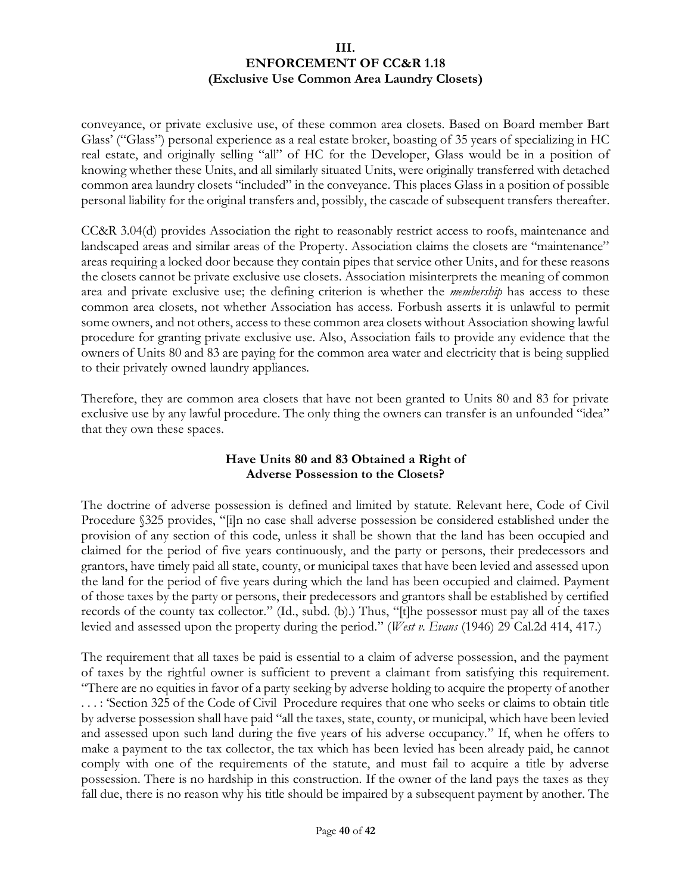conveyance, or private exclusive use, of these common area closets. Based on Board member Bart Glass' ("Glass") personal experience as a real estate broker, boasting of 35 years of specializing in HC real estate, and originally selling "all" of HC for the Developer, Glass would be in a position of knowing whether these Units, and all similarly situated Units, were originally transferred with detached common area laundry closets "included" in the conveyance. This places Glass in a position of possible personal liability for the original transfers and, possibly, the cascade of subsequent transfers thereafter.

CC&R 3.04(d) provides Association the right to reasonably restrict access to roofs, maintenance and landscaped areas and similar areas of the Property. Association claims the closets are "maintenance" areas requiring a locked door because they contain pipes that service other Units, and for these reasons the closets cannot be private exclusive use closets. Association misinterprets the meaning of common area and private exclusive use; the defining criterion is whether the *membership* has access to these common area closets, not whether Association has access. Forbush asserts it is unlawful to permit some owners, and not others, access to these common area closets without Association showing lawful procedure for granting private exclusive use. Also, Association fails to provide any evidence that the owners of Units 80 and 83 are paying for the common area water and electricity that is being supplied to their privately owned laundry appliances.

Therefore, they are common area closets that have not been granted to Units 80 and 83 for private exclusive use by any lawful procedure. The only thing the owners can transfer is an unfounded "idea" that they own these spaces.

# **Have Units 80 and 83 Obtained a Right of Adverse Possession to the Closets?**

The doctrine of adverse possession is defined and limited by statute. Relevant here, Code of Civil Procedure §325 provides, "[i]n no case shall adverse possession be considered established under the provision of any section of this code, unless it shall be shown that the land has been occupied and claimed for the period of five years continuously, and the party or persons, their predecessors and grantors, have timely paid all state, county, or municipal taxes that have been levied and assessed upon the land for the period of five years during which the land has been occupied and claimed. Payment of those taxes by the party or persons, their predecessors and grantors shall be established by certified records of the county tax collector." (Id., subd. (b).) Thus, "[t]he possessor must pay all of the taxes levied and assessed upon the property during the period." (*West v. Evans* (1946) 29 Cal.2d 414, 417.)

The requirement that all taxes be paid is essential to a claim of adverse possession, and the payment of taxes by the rightful owner is sufficient to prevent a claimant from satisfying this requirement. "There are no equities in favor of a party seeking by adverse holding to acquire the property of another . . . : 'Section 325 of the Code of Civil Procedure requires that one who seeks or claims to obtain title by adverse possession shall have paid "all the taxes, state, county, or municipal, which have been levied and assessed upon such land during the five years of his adverse occupancy." If, when he offers to make a payment to the tax collector, the tax which has been levied has been already paid, he cannot comply with one of the requirements of the statute, and must fail to acquire a title by adverse possession. There is no hardship in this construction. If the owner of the land pays the taxes as they fall due, there is no reason why his title should be impaired by a subsequent payment by another. The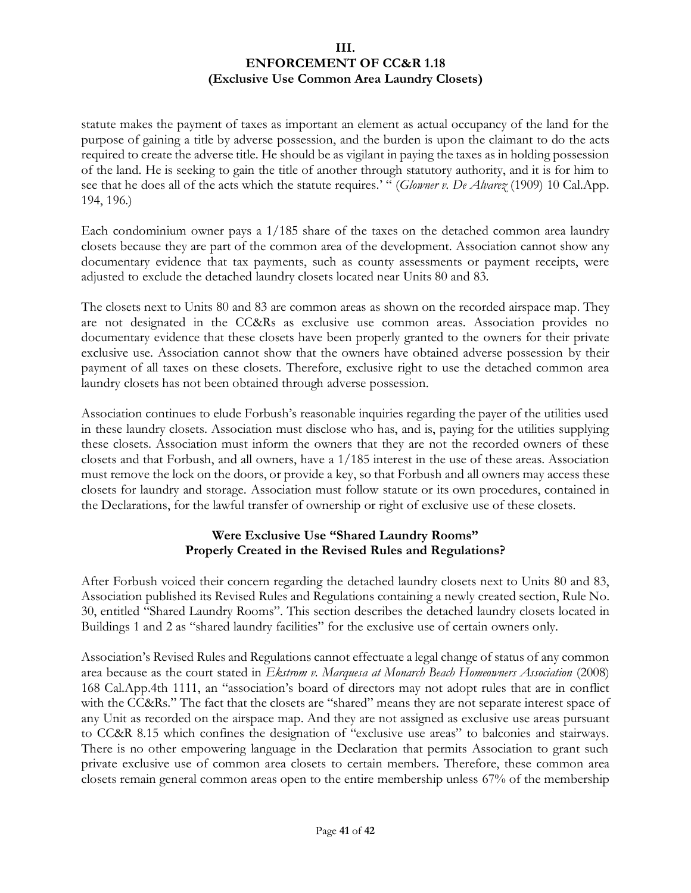statute makes the payment of taxes as important an element as actual occupancy of the land for the purpose of gaining a title by adverse possession, and the burden is upon the claimant to do the acts required to create the adverse title. He should be as vigilant in paying the taxes as in holding possession of the land. He is seeking to gain the title of another through statutory authority, and it is for him to see that he does all of the acts which the statute requires.' " (*Glowner v. De Alvarez* (1909) 10 Cal.App. 194, 196.)

Each condominium owner pays a 1/185 share of the taxes on the detached common area laundry closets because they are part of the common area of the development. Association cannot show any documentary evidence that tax payments, such as county assessments or payment receipts, were adjusted to exclude the detached laundry closets located near Units 80 and 83.

The closets next to Units 80 and 83 are common areas as shown on the recorded airspace map. They are not designated in the CC&Rs as exclusive use common areas. Association provides no documentary evidence that these closets have been properly granted to the owners for their private exclusive use. Association cannot show that the owners have obtained adverse possession by their payment of all taxes on these closets. Therefore, exclusive right to use the detached common area laundry closets has not been obtained through adverse possession.

Association continues to elude Forbush's reasonable inquiries regarding the payer of the utilities used in these laundry closets. Association must disclose who has, and is, paying for the utilities supplying these closets. Association must inform the owners that they are not the recorded owners of these closets and that Forbush, and all owners, have a 1/185 interest in the use of these areas. Association must remove the lock on the doors, or provide a key, so that Forbush and all owners may access these closets for laundry and storage. Association must follow statute or its own procedures, contained in the Declarations, for the lawful transfer of ownership or right of exclusive use of these closets.

# **Were Exclusive Use "Shared Laundry Rooms" Properly Created in the Revised Rules and Regulations?**

After Forbush voiced their concern regarding the detached laundry closets next to Units 80 and 83, Association published its Revised Rules and Regulations containing a newly created section, Rule No. 30, entitled "Shared Laundry Rooms". This section describes the detached laundry closets located in Buildings 1 and 2 as "shared laundry facilities" for the exclusive use of certain owners only.

Association's Revised Rules and Regulations cannot effectuate a legal change of status of any common area because as the court stated in *Ekstrom v. Marquesa at Monarch Beach Homeowners Association* (2008) 168 Cal.App.4th 1111, an "association's board of directors may not adopt rules that are in conflict with the CC&Rs." The fact that the closets are "shared" means they are not separate interest space of any Unit as recorded on the airspace map. And they are not assigned as exclusive use areas pursuant to CC&R 8.15 which confines the designation of "exclusive use areas" to balconies and stairways. There is no other empowering language in the Declaration that permits Association to grant such private exclusive use of common area closets to certain members. Therefore, these common area closets remain general common areas open to the entire membership unless 67% of the membership